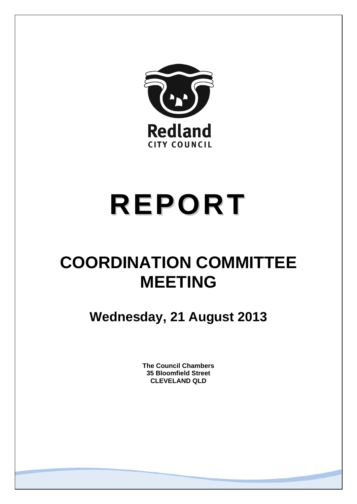

# **REPORT**

# **COORDINATION COMMITTEE MEETING**

**Wednesday, 21 August 2013** 

**The Council Chambers 35 Bloomfield Street CLEVELAND QLD**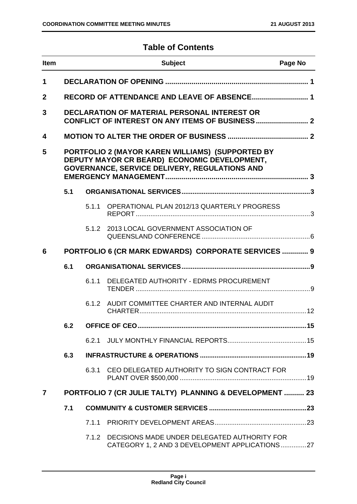# **Table of Contents**

| <b>Item</b>    |                                                                                                                                                          |       | <b>Subject</b>                                                                                 | Page No |
|----------------|----------------------------------------------------------------------------------------------------------------------------------------------------------|-------|------------------------------------------------------------------------------------------------|---------|
| 1              |                                                                                                                                                          |       |                                                                                                |         |
| $\mathbf{2}$   |                                                                                                                                                          |       | RECORD OF ATTENDANCE AND LEAVE OF ABSENCE 1                                                    |         |
| 3              |                                                                                                                                                          |       | DECLARATION OF MATERIAL PERSONAL INTEREST OR                                                   |         |
| 4              |                                                                                                                                                          |       |                                                                                                |         |
| 5              | PORTFOLIO 2 (MAYOR KAREN WILLIAMS) (SUPPORTED BY<br>DEPUTY MAYOR CR BEARD) ECONOMIC DEVELOPMENT,<br><b>GOVERNANCE, SERVICE DELIVERY, REGULATIONS AND</b> |       |                                                                                                |         |
|                | 5.1                                                                                                                                                      |       |                                                                                                |         |
|                |                                                                                                                                                          | 5.1.1 | OPERATIONAL PLAN 2012/13 QUARTERLY PROGRESS                                                    |         |
|                |                                                                                                                                                          | 5.1.2 | 2013 LOCAL GOVERNMENT ASSOCIATION OF                                                           |         |
| 6              |                                                                                                                                                          |       | PORTFOLIO 6 (CR MARK EDWARDS) CORPORATE SERVICES  9                                            |         |
|                | 6.1                                                                                                                                                      |       |                                                                                                |         |
|                |                                                                                                                                                          | 6.1.1 | DELEGATED AUTHORITY - EDRMS PROCUREMENT                                                        |         |
|                |                                                                                                                                                          | 6.1.2 | AUDIT COMMITTEE CHARTER AND INTERNAL AUDIT                                                     |         |
|                | 6.2                                                                                                                                                      |       |                                                                                                |         |
|                |                                                                                                                                                          | 6.2.1 |                                                                                                |         |
|                | 6.3                                                                                                                                                      |       |                                                                                                |         |
|                |                                                                                                                                                          | 6.3.1 | CEO DELEGATED AUTHORITY TO SIGN CONTRACT FOR                                                   |         |
| $\overline{7}$ |                                                                                                                                                          |       | PORTFOLIO 7 (CR JULIE TALTY) PLANNING & DEVELOPMENT  23                                        |         |
|                | 7.1                                                                                                                                                      |       |                                                                                                |         |
|                |                                                                                                                                                          | 7.1.1 |                                                                                                |         |
|                |                                                                                                                                                          | 7.1.2 | DECISIONS MADE UNDER DELEGATED AUTHORITY FOR<br>CATEGORY 1, 2 AND 3 DEVELOPMENT APPLICATIONS27 |         |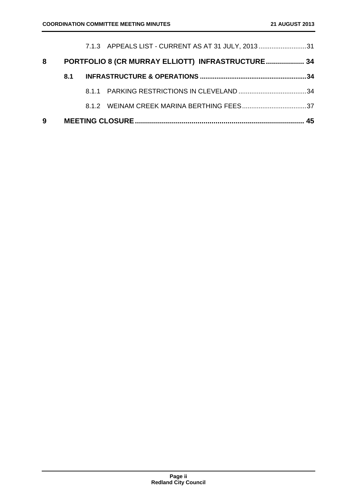| 9 |     |                                                    | 45 |
|---|-----|----------------------------------------------------|----|
|   |     |                                                    |    |
|   |     |                                                    |    |
|   | 8.1 |                                                    |    |
| 8 |     | PORTFOLIO 8 (CR MURRAY ELLIOTT) INFRASTRUCTURE 34  |    |
|   |     | 7.1.3 APPEALS LIST - CURRENT AS AT 31 JULY, 201331 |    |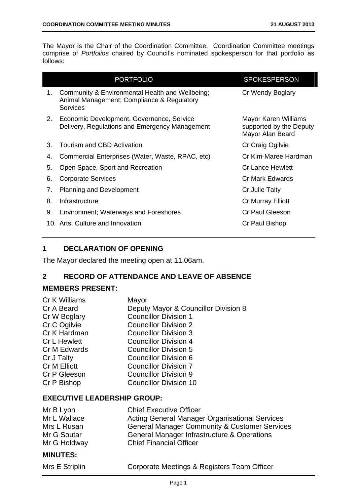The Mayor is the Chair of the Coordination Committee. Coordination Committee meetings comprise of *Portfolios* chaired by Council's nominated spokesperson for that portfolio as follows:

| <b>PORTFOLIO</b>                                                                                                       | <b>SPOKESPERSON</b>                                                 |
|------------------------------------------------------------------------------------------------------------------------|---------------------------------------------------------------------|
| Community & Environmental Health and Wellbeing;<br>1.<br>Animal Management; Compliance & Regulatory<br><b>Services</b> | Cr Wendy Boglary                                                    |
| Economic Development, Governance, Service<br>2.<br>Delivery, Regulations and Emergency Management                      | Mayor Karen Williams<br>supported by the Deputy<br>Mayor Alan Beard |
| Tourism and CBD Activation<br>3.                                                                                       | Cr Craig Ogilvie                                                    |
| Commercial Enterprises (Water, Waste, RPAC, etc)<br>4.                                                                 | Cr Kim-Maree Hardman                                                |
| 5.<br>Open Space, Sport and Recreation                                                                                 | <b>Cr Lance Hewlett</b>                                             |
| 6.<br><b>Corporate Services</b>                                                                                        | Cr Mark Edwards                                                     |
| <b>Planning and Development</b><br>7.                                                                                  | Cr Julie Talty                                                      |
| 8.<br>Infrastructure                                                                                                   | <b>Cr Murray Elliott</b>                                            |
| 9.<br><b>Environment; Waterways and Foreshores</b>                                                                     | Cr Paul Gleeson                                                     |
| 10. Arts, Culture and Innovation                                                                                       | Cr Paul Bishop                                                      |

# **1 DECLARATION OF OPENING**

The Mayor declared the meeting open at 11.06am.

# **2 RECORD OF ATTENDANCE AND LEAVE OF ABSENCE**

#### **MEMBERS PRESENT:**

| Cr K Williams       | Mayor                                |
|---------------------|--------------------------------------|
| Cr A Beard          | Deputy Mayor & Councillor Division 8 |
| Cr W Boglary        | <b>Councillor Division 1</b>         |
| Cr C Ogilvie        | <b>Councillor Division 2</b>         |
| Cr K Hardman        | <b>Councillor Division 3</b>         |
| <b>Cr L Hewlett</b> | <b>Councillor Division 4</b>         |
| Cr M Edwards        | <b>Councillor Division 5</b>         |
| Cr J Talty          | <b>Councillor Division 6</b>         |
| <b>Cr M Elliott</b> | <b>Councillor Division 7</b>         |
| Cr P Gleeson        | <b>Councillor Division 9</b>         |
| Cr P Bishop         | <b>Councillor Division 10</b>        |
|                     |                                      |

# **EXECUTIVE LEADERSHIP GROUP:**

| Mr B Lyon    | <b>Chief Executive Officer</b>                           |
|--------------|----------------------------------------------------------|
| Mr L Wallace | <b>Acting General Manager Organisational Services</b>    |
| Mrs L Rusan  | <b>General Manager Community &amp; Customer Services</b> |
| Mr G Soutar  | <b>General Manager Infrastructure &amp; Operations</b>   |
| Mr G Holdway | <b>Chief Financial Officer</b>                           |

# **MINUTES:**

|  | Mrs E Stripli |  |  |  |  |
|--|---------------|--|--|--|--|
|--|---------------|--|--|--|--|

In **External Corporate Meetings & Registers Team Officer**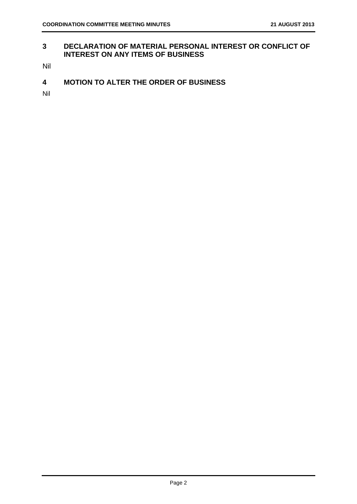#### **3 DECLARATION OF MATERIAL PERSONAL INTEREST OR CONFLICT OF INTEREST ON ANY ITEMS OF BUSINESS**

Nil

**4 MOTION TO ALTER THE ORDER OF BUSINESS** 

Nil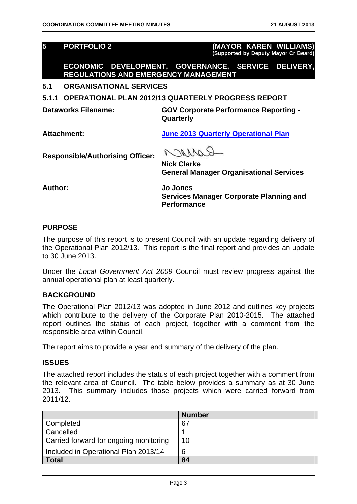| $\overline{\mathbf{5}}$                 | <b>PORTFOLIO 2</b>                          | (MAYOR KAREN WILLIAMS)<br>(Supported by Deputy Mayor Cr Beard)                   |  |  |
|-----------------------------------------|---------------------------------------------|----------------------------------------------------------------------------------|--|--|
|                                         | <b>REGULATIONS AND EMERGENCY MANAGEMENT</b> | ECONOMIC DEVELOPMENT, GOVERNANCE, SERVICE DELIVERY,                              |  |  |
| 5.1                                     | <b>ORGANISATIONAL SERVICES</b>              |                                                                                  |  |  |
| 5.1.1                                   |                                             | <b>OPERATIONAL PLAN 2012/13 QUARTERLY PROGRESS REPORT</b>                        |  |  |
| Dataworks Filename:                     |                                             | <b>GOV Corporate Performance Reporting -</b><br>Quarterly                        |  |  |
| Attachment:                             |                                             | <b>June 2013 Quarterly Operational Plan</b>                                      |  |  |
| <b>Responsible/Authorising Officer:</b> |                                             | 117<br><b>Nick Clarke</b><br><b>General Manager Organisational Services</b>      |  |  |
| Author:                                 |                                             | Jo Jones<br><b>Services Manager Corporate Planning and</b><br><b>Performance</b> |  |  |

#### **PURPOSE**

The purpose of this report is to present Council with an update regarding delivery of the Operational Plan 2012/13. This report is the final report and provides an update to 30 June 2013.

Under the *Local Government Act 2009* Council must review progress against the annual operational plan at least quarterly.

#### **BACKGROUND**

The Operational Plan 2012/13 was adopted in June 2012 and outlines key projects which contribute to the delivery of the Corporate Plan 2010-2015. The attached report outlines the status of each project, together with a comment from the responsible area within Council.

The report aims to provide a year end summary of the delivery of the plan.

#### **ISSUES**

The attached report includes the status of each project together with a comment from the relevant area of Council. The table below provides a summary as at 30 June 2013. This summary includes those projects which were carried forward from 2011/12.

|                                        | <b>Number</b> |
|----------------------------------------|---------------|
| Completed                              | 67            |
| Cancelled                              |               |
| Carried forward for ongoing monitoring | 10            |
| Included in Operational Plan 2013/14   | 6             |
| <b>Total</b>                           | 84            |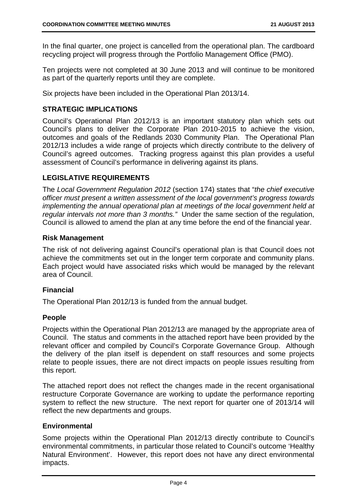In the final quarter, one project is cancelled from the operational plan. The cardboard recycling project will progress through the Portfolio Management Office (PMO).

Ten projects were not completed at 30 June 2013 and will continue to be monitored as part of the quarterly reports until they are complete.

Six projects have been included in the Operational Plan 2013/14.

# **STRATEGIC IMPLICATIONS**

Council's Operational Plan 2012/13 is an important statutory plan which sets out Council's plans to deliver the Corporate Plan 2010-2015 to achieve the vision, outcomes and goals of the Redlands 2030 Community Plan. The Operational Plan 2012/13 includes a wide range of projects which directly contribute to the delivery of Council's agreed outcomes. Tracking progress against this plan provides a useful assessment of Council's performance in delivering against its plans.

#### **LEGISLATIVE REQUIREMENTS**

The *Local Government Regulation 2012* (section 174) states that "*the chief executive officer must present a written assessment of the local government's progress towards implementing the annual operational plan at meetings of the local government held at regular intervals not more than 3 months."* Under the same section of the regulation, Council is allowed to amend the plan at any time before the end of the financial year.

#### **Risk Management**

The risk of not delivering against Council's operational plan is that Council does not achieve the commitments set out in the longer term corporate and community plans. Each project would have associated risks which would be managed by the relevant area of Council.

# **Financial**

The Operational Plan 2012/13 is funded from the annual budget.

#### **People**

Projects within the Operational Plan 2012/13 are managed by the appropriate area of Council. The status and comments in the attached report have been provided by the relevant officer and compiled by Council's Corporate Governance Group. Although the delivery of the plan itself is dependent on staff resources and some projects relate to people issues, there are not direct impacts on people issues resulting from this report.

The attached report does not reflect the changes made in the recent organisational restructure Corporate Governance are working to update the performance reporting system to reflect the new structure. The next report for quarter one of 2013/14 will reflect the new departments and groups.

#### **Environmental**

Some projects within the Operational Plan 2012/13 directly contribute to Council's environmental commitments, in particular those related to Council's outcome 'Healthy Natural Environment'. However, this report does not have any direct environmental impacts.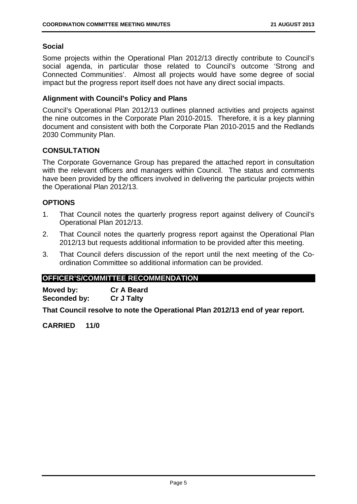#### **Social**

Some projects within the Operational Plan 2012/13 directly contribute to Council's social agenda, in particular those related to Council's outcome 'Strong and Connected Communities'. Almost all projects would have some degree of social impact but the progress report itself does not have any direct social impacts.

# **Alignment with Council's Policy and Plans**

Council's Operational Plan 2012/13 outlines planned activities and projects against the nine outcomes in the Corporate Plan 2010-2015. Therefore, it is a key planning document and consistent with both the Corporate Plan 2010-2015 and the Redlands 2030 Community Plan.

# **CONSULTATION**

The Corporate Governance Group has prepared the attached report in consultation with the relevant officers and managers within Council. The status and comments have been provided by the officers involved in delivering the particular projects within the Operational Plan 2012/13.

# **OPTIONS**

- 1. That Council notes the quarterly progress report against delivery of Council's Operational Plan 2012/13.
- 2. That Council notes the quarterly progress report against the Operational Plan 2012/13 but requests additional information to be provided after this meeting.
- 3. That Council defers discussion of the report until the next meeting of the Coordination Committee so additional information can be provided.

#### **OFFICER'S/COMMITTEE RECOMMENDATION**

**Moved by: Cr A Beard Seconded by: Cr J Talty** 

**That Council resolve to note the Operational Plan 2012/13 end of year report.**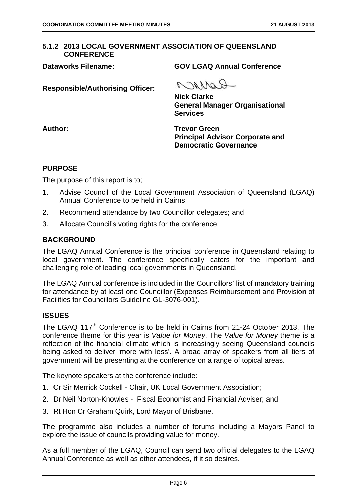#### **5.1.2 2013 LOCAL GOVERNMENT ASSOCIATION OF QUEENSLAND CONFERENCE**

**Dataworks Filename: GOV LGAQ Annual Conference** 

**Responsible/Authorising Officer:** 

COMPO

**Nick Clarke General Manager Organisational Services** 

**Author: Trevor Green Principal Advisor Corporate and Democratic Governance** 

#### **PURPOSE**

The purpose of this report is to;

- 1. Advise Council of the Local Government Association of Queensland (LGAQ) Annual Conference to be held in Cairns;
- 2. Recommend attendance by two Councillor delegates; and
- 3. Allocate Council's voting rights for the conference.

#### **BACKGROUND**

The LGAQ Annual Conference is the principal conference in Queensland relating to local government. The conference specifically caters for the important and challenging role of leading local governments in Queensland.

The LGAQ Annual conference is included in the Councillors' list of mandatory training for attendance by at least one Councillor (Expenses Reimbursement and Provision of Facilities for Councillors Guideline GL-3076-001).

#### **ISSUES**

The LGAQ 117<sup>th</sup> Conference is to be held in Cairns from 21-24 October 2013. The conference theme for this year is *Value for Money*. The *Value for Money* theme is a reflection of the financial climate which is increasingly seeing Queensland councils being asked to deliver 'more with less'. A broad array of speakers from all tiers of government will be presenting at the conference on a range of topical areas.

The keynote speakers at the conference include:

- 1. Cr Sir Merrick Cockell Chair, UK Local Government Association;
- 2. Dr Neil Norton-Knowles Fiscal Economist and Financial Adviser; and
- 3. Rt Hon Cr Graham Quirk, Lord Mayor of Brisbane.

The programme also includes a number of forums including a Mayors Panel to explore the issue of councils providing value for money.

As a full member of the LGAQ, Council can send two official delegates to the LGAQ Annual Conference as well as other attendees, if it so desires.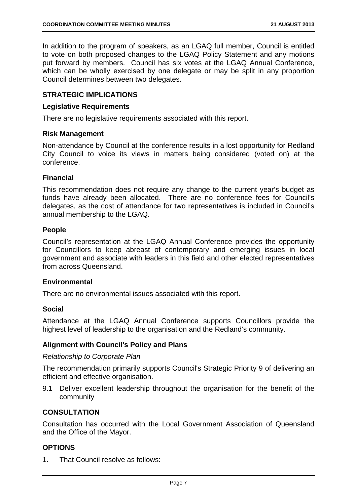In addition to the program of speakers, as an LGAQ full member, Council is entitled to vote on both proposed changes to the LGAQ Policy Statement and any motions put forward by members. Council has six votes at the LGAQ Annual Conference, which can be wholly exercised by one delegate or may be split in any proportion Council determines between two delegates.

#### **STRATEGIC IMPLICATIONS**

#### **Legislative Requirements**

There are no legislative requirements associated with this report.

#### **Risk Management**

Non-attendance by Council at the conference results in a lost opportunity for Redland City Council to voice its views in matters being considered (voted on) at the conference.

#### **Financial**

This recommendation does not require any change to the current year's budget as funds have already been allocated. There are no conference fees for Council's delegates, as the cost of attendance for two representatives is included in Council's annual membership to the LGAQ.

#### **People**

Council's representation at the LGAQ Annual Conference provides the opportunity for Councillors to keep abreast of contemporary and emerging issues in local government and associate with leaders in this field and other elected representatives from across Queensland.

#### **Environmental**

There are no environmental issues associated with this report.

#### **Social**

Attendance at the LGAQ Annual Conference supports Councillors provide the highest level of leadership to the organisation and the Redland's community.

#### **Alignment with Council's Policy and Plans**

#### *Relationship to Corporate Plan*

The recommendation primarily supports Council's Strategic Priority 9 of delivering an efficient and effective organisation.

9.1 Deliver excellent leadership throughout the organisation for the benefit of the community

#### **CONSULTATION**

Consultation has occurred with the Local Government Association of Queensland and the Office of the Mayor.

#### **OPTIONS**

1. That Council resolve as follows: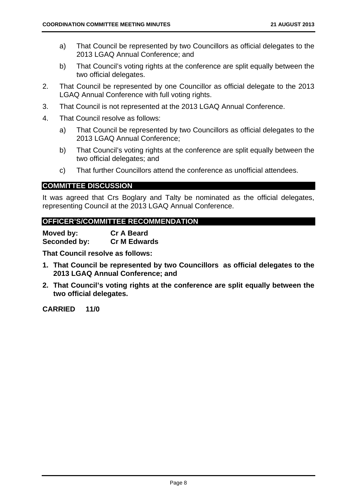- a) That Council be represented by two Councillors as official delegates to the 2013 LGAQ Annual Conference; and
- b) That Council's voting rights at the conference are split equally between the two official delegates.
- 2. That Council be represented by one Councillor as official delegate to the 2013 LGAQ Annual Conference with full voting rights.
- 3. That Council is not represented at the 2013 LGAQ Annual Conference.
- 4. That Council resolve as follows:
	- a) That Council be represented by two Councillors as official delegates to the 2013 LGAQ Annual Conference;
	- b) That Council's voting rights at the conference are split equally between the two official delegates; and
	- c) That further Councillors attend the conference as unofficial attendees.

#### **COMMITTEE DISCUSSION**

It was agreed that Crs Boglary and Talty be nominated as the official delegates, representing Council at the 2013 LGAQ Annual Conference.

#### **OFFICER'S/COMMITTEE RECOMMENDATION**

| Moved by:    | <b>Cr A Beard</b>   |
|--------------|---------------------|
| Seconded by: | <b>Cr M Edwards</b> |

**That Council resolve as follows:** 

- **1. That Council be represented by two Councillors as official delegates to the 2013 LGAQ Annual Conference; and**
- **2. That Council's voting rights at the conference are split equally between the two official delegates.**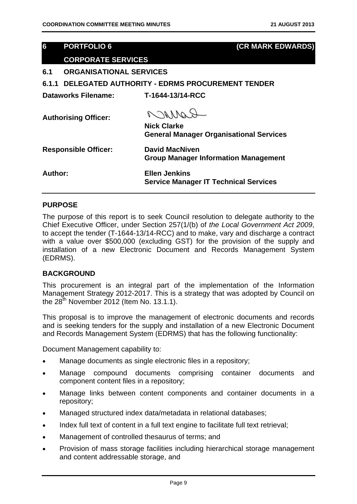# **6 PORTFOLIO 6 (CR MARK EDWARDS)**

# **CORPORATE SERVICES**

**6.1 ORGANISATIONAL SERVICES** 

**6.1.1 DELEGATED AUTHORITY - EDRMS PROCUREMENT TENDER** 

**Dataworks Filename: T-1644-13/14-RCC** 

**Authorising Officer:** 

Raynon

**Nick Clarke General Manager Organisational Services** 

| <b>Responsible Officer:</b> | <b>David MacNiven</b><br><b>Group Manager Information Management</b> |
|-----------------------------|----------------------------------------------------------------------|
| <b>Author:</b>              | <b>Ellen Jenkins</b><br><b>Service Manager IT Technical Services</b> |

#### **PURPOSE**

The purpose of this report is to seek Council resolution to delegate authority to the Chief Executive Officer, under Section 257(1/(b) of *the Local Government Act 2009*, to accept the tender (T-1644-13/14-RCC) and to make, vary and discharge a contract with a value over \$500,000 (excluding GST) for the provision of the supply and installation of a new Electronic Document and Records Management System (EDRMS).

#### **BACKGROUND**

This procurement is an integral part of the implementation of the Information Management Strategy 2012-2017. This is a strategy that was adopted by Council on the  $28<sup>th</sup>$  November 2012 (Item No. 13.1.1).

This proposal is to improve the management of electronic documents and records and is seeking tenders for the supply and installation of a new Electronic Document and Records Management System (EDRMS) that has the following functionality:

Document Management capability to:

- Manage documents as single electronic files in a repository;
- Manage compound documents comprising container documents and component content files in a repository;
- Manage links between content components and container documents in a repository;
- Managed structured index data/metadata in relational databases;
- Index full text of content in a full text engine to facilitate full text retrieval;
- Management of controlled thesaurus of terms; and
- Provision of mass storage facilities including hierarchical storage management and content addressable storage, and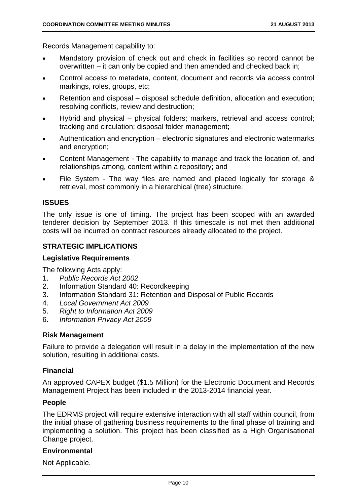Records Management capability to:

- Mandatory provision of check out and check in facilities so record cannot be overwritten – it can only be copied and then amended and checked back in;
- Control access to metadata, content, document and records via access control markings, roles, groups, etc;
- Retention and disposal disposal schedule definition, allocation and execution; resolving conflicts, review and destruction;
- Hybrid and physical physical folders; markers, retrieval and access control; tracking and circulation; disposal folder management;
- Authentication and encryption electronic signatures and electronic watermarks and encryption;
- Content Management The capability to manage and track the location of, and relationships among, content within a repository; and
- File System The way files are named and placed logically for storage & retrieval, most commonly in a hierarchical (tree) structure.

# **ISSUES**

The only issue is one of timing. The project has been scoped with an awarded tenderer decision by September 2013. If this timescale is not met then additional costs will be incurred on contract resources already allocated to the project.

# **STRATEGIC IMPLICATIONS**

#### **Legislative Requirements**

The following Acts apply:

- 1. *Public Records Act 2002*
- 2. Information Standard 40: Recordkeeping
- 3. Information Standard 31: Retention and Disposal of Public Records
- 4. *Local Government Act 2009*
- 5. *Right to Information Act 2009*
- 6. *Information Privacy Act 2009*

#### **Risk Management**

Failure to provide a delegation will result in a delay in the implementation of the new solution, resulting in additional costs.

#### **Financial**

An approved CAPEX budget (\$1.5 Million) for the Electronic Document and Records Management Project has been included in the 2013-2014 financial year.

#### **People**

The EDRMS project will require extensive interaction with all staff within council, from the initial phase of gathering business requirements to the final phase of training and implementing a solution. This project has been classified as a High Organisational Change project.

#### **Environmental**

Not Applicable.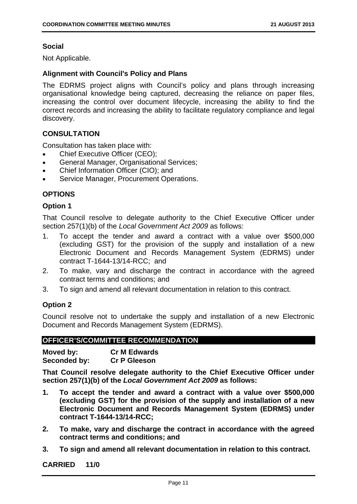# **Social**

Not Applicable.

# **Alignment with Council's Policy and Plans**

The EDRMS project aligns with Council's policy and plans through increasing organisational knowledge being captured, decreasing the reliance on paper files, increasing the control over document lifecycle, increasing the ability to find the correct records and increasing the ability to facilitate regulatory compliance and legal discovery.

# **CONSULTATION**

Consultation has taken place with:

- Chief Executive Officer (CEO);
- General Manager, Organisational Services;
- Chief Information Officer (CIO); and
- **•** Service Manager, Procurement Operations.

# **OPTIONS**

#### **Option 1**

That Council resolve to delegate authority to the Chief Executive Officer under section 257(1)(b) of the *Local Government Act 2009* as follows:

- 1. To accept the tender and award a contract with a value over \$500,000 (excluding GST) for the provision of the supply and installation of a new Electronic Document and Records Management System (EDRMS) under contract T-1644-13/14-RCC; and
- 2. To make, vary and discharge the contract in accordance with the agreed contract terms and conditions; and
- 3. To sign and amend all relevant documentation in relation to this contract.

# **Option 2**

Council resolve not to undertake the supply and installation of a new Electronic Document and Records Management System (EDRMS).

# **OFFICER'S/COMMITTEE RECOMMENDATION**

| Moved by:    | <b>Cr M Edwards</b> |
|--------------|---------------------|
| Seconded by: | <b>Cr P Gleeson</b> |

**That Council resolve delegate authority to the Chief Executive Officer under section 257(1)(b) of the** *Local Government Act 2009* **as follows:** 

- **1. To accept the tender and award a contract with a value over \$500,000 (excluding GST) for the provision of the supply and installation of a new Electronic Document and Records Management System (EDRMS) under contract T-1644-13/14-RCC;**
- **2. To make, vary and discharge the contract in accordance with the agreed contract terms and conditions; and**
- **3. To sign and amend all relevant documentation in relation to this contract.**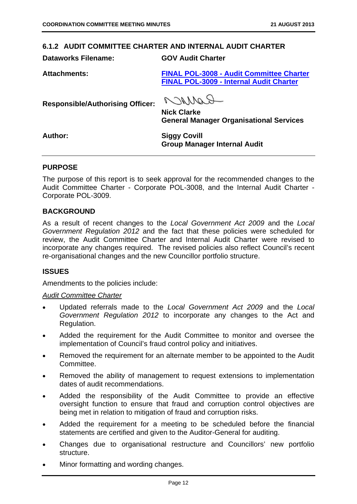#### **6.1.2 AUDIT COMMITTEE CHARTER AND INTERNAL AUDIT CHARTER**

**Dataworks Filename: GOV Audit Charter** 

**Attachments: FINAL POL-3008 - Audit Committee Charter FINAL POL-3009 - Internal Audit Charter**

**Responsible/Authorising Officer:** 

PAMAR

**Nick Clarke General Manager Organisational Services** 

**Author: Siggy Covill Group Manager Internal Audit** 

#### **PURPOSE**

The purpose of this report is to seek approval for the recommended changes to the Audit Committee Charter - Corporate POL-3008, and the Internal Audit Charter - Corporate POL-3009.

#### **BACKGROUND**

As a result of recent changes to the *Local Government Act 2009* and the *Local Government Regulation 2012* and the fact that these policies were scheduled for review, the Audit Committee Charter and Internal Audit Charter were revised to incorporate any changes required. The revised policies also reflect Council's recent re-organisational changes and the new Councillor portfolio structure.

#### **ISSUES**

Amendments to the policies include:

#### *Audit Committee Charter*

- Updated referrals made to the *Local Government Act 2009* and the *Local Government Regulation 2012* to incorporate any changes to the Act and Regulation.
- Added the requirement for the Audit Committee to monitor and oversee the implementation of Council's fraud control policy and initiatives.
- Removed the requirement for an alternate member to be appointed to the Audit Committee.
- Removed the ability of management to request extensions to implementation dates of audit recommendations.
- Added the responsibility of the Audit Committee to provide an effective oversight function to ensure that fraud and corruption control objectives are being met in relation to mitigation of fraud and corruption risks.
- Added the requirement for a meeting to be scheduled before the financial statements are certified and given to the Auditor-General for auditing.
- Changes due to organisational restructure and Councillors' new portfolio structure.
- Minor formatting and wording changes.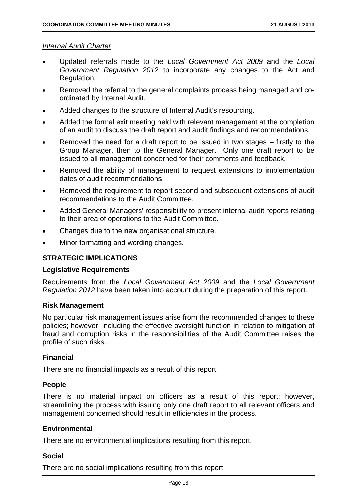#### *Internal Audit Charter*

- Updated referrals made to the *Local Government Act 2009* and the *Local Government Regulation 2012* to incorporate any changes to the Act and Regulation.
- Removed the referral to the general complaints process being managed and coordinated by Internal Audit.
- Added changes to the structure of Internal Audit's resourcing.
- Added the formal exit meeting held with relevant management at the completion of an audit to discuss the draft report and audit findings and recommendations.
- Removed the need for a draft report to be issued in two stages firstly to the Group Manager, then to the General Manager. Only one draft report to be issued to all management concerned for their comments and feedback.
- Removed the ability of management to request extensions to implementation dates of audit recommendations.
- Removed the requirement to report second and subsequent extensions of audit recommendations to the Audit Committee.
- Added General Managers' responsibility to present internal audit reports relating to their area of operations to the Audit Committee.
- Changes due to the new organisational structure.
- Minor formatting and wording changes.

# **STRATEGIC IMPLICATIONS**

#### **Legislative Requirements**

Requirements from the *Local Government Act 2009* and the *Local Government Regulation 2012* have been taken into account during the preparation of this report.

#### **Risk Management**

No particular risk management issues arise from the recommended changes to these policies; however, including the effective oversight function in relation to mitigation of fraud and corruption risks in the responsibilities of the Audit Committee raises the profile of such risks.

#### **Financial**

There are no financial impacts as a result of this report.

#### **People**

There is no material impact on officers as a result of this report; however, streamlining the process with issuing only one draft report to all relevant officers and management concerned should result in efficiencies in the process.

#### **Environmental**

There are no environmental implications resulting from this report.

#### **Social**

There are no social implications resulting from this report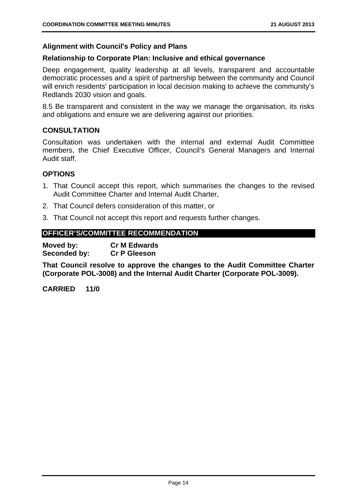#### **Alignment with Council's Policy and Plans**

#### **Relationship to Corporate Plan: Inclusive and ethical governance**

Deep engagement, quality leadership at all levels, transparent and accountable democratic processes and a spirit of partnership between the community and Council will enrich residents' participation in local decision making to achieve the community's Redlands 2030 vision and goals.

8.5 Be transparent and consistent in the way we manage the organisation, its risks and obligations and ensure we are delivering against our priorities.

#### **CONSULTATION**

Consultation was undertaken with the internal and external Audit Committee members, the Chief Executive Officer, Council's General Managers and Internal Audit staff.

#### **OPTIONS**

- 1. That Council accept this report, which summarises the changes to the revised Audit Committee Charter and Internal Audit Charter,
- 2. That Council defers consideration of this matter, or
- 3. That Council not accept this report and requests further changes.

# **OFFICER'S/COMMITTEE RECOMMENDATION**

**Moved by: Cr M Edwards Seconded by: Cr P Gleeson** 

**That Council resolve to approve the changes to the Audit Committee Charter (Corporate POL-3008) and the Internal Audit Charter (Corporate POL-3009).**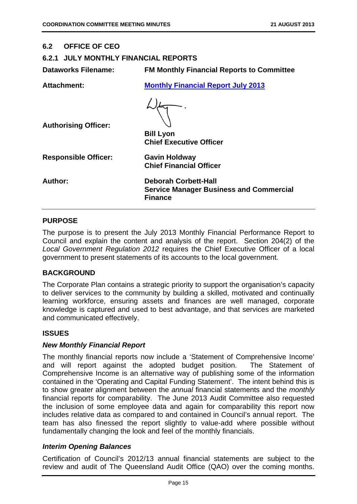#### **6.2 OFFICE OF CEO**

#### **6.2.1 JULY MONTHLY FINANCIAL REPORTS**

**Dataworks Filename: FM Monthly Financial Reports to Committee** 

| <b>Attachment:</b>          | <b>Monthly Financial Report July 2013</b>                                                       |
|-----------------------------|-------------------------------------------------------------------------------------------------|
|                             |                                                                                                 |
| <b>Authorising Officer:</b> |                                                                                                 |
|                             | <b>Bill Lyon</b><br><b>Chief Executive Officer</b>                                              |
| <b>Responsible Officer:</b> | <b>Gavin Holdway</b><br><b>Chief Financial Officer</b>                                          |
| Author:                     | <b>Deborah Corbett-Hall</b><br><b>Service Manager Business and Commercial</b><br><b>Finance</b> |
|                             |                                                                                                 |

#### **PURPOSE**

The purpose is to present the July 2013 Monthly Financial Performance Report to Council and explain the content and analysis of the report. Section 204(2) of the *Local Government Regulation 2012* requires the Chief Executive Officer of a local government to present statements of its accounts to the local government.

# **BACKGROUND**

The Corporate Plan contains a strategic priority to support the organisation's capacity to deliver services to the community by building a skilled, motivated and continually learning workforce, ensuring assets and finances are well managed, corporate knowledge is captured and used to best advantage, and that services are marketed and communicated effectively.

# **ISSUES**

#### *New Monthly Financial Report*

The monthly financial reports now include a 'Statement of Comprehensive Income' and will report against the adopted budget position. The Statement of Comprehensive Income is an alternative way of publishing some of the information contained in the 'Operating and Capital Funding Statement'. The intent behind this is to show greater alignment between the *annual* financial statements and the *monthly* financial reports for comparability. The June 2013 Audit Committee also requested the inclusion of some employee data and again for comparability this report now includes relative data as compared to and contained in Council's annual report. The team has also finessed the report slightly to value-add where possible without fundamentally changing the look and feel of the monthly financials.

# *Interim Opening Balances*

Certification of Council's 2012/13 annual financial statements are subject to the review and audit of The Queensland Audit Office (QAO) over the coming months.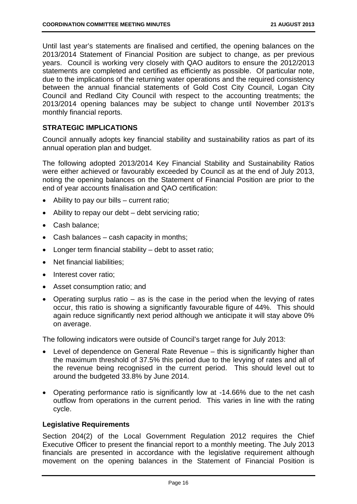Until last year's statements are finalised and certified, the opening balances on the 2013/2014 Statement of Financial Position are subject to change, as per previous years. Council is working very closely with QAO auditors to ensure the 2012/2013 statements are completed and certified as efficiently as possible. Of particular note, due to the implications of the returning water operations and the required consistency between the annual financial statements of Gold Cost City Council, Logan City Council and Redland City Council with respect to the accounting treatments; the 2013/2014 opening balances may be subject to change until November 2013's monthly financial reports.

#### **STRATEGIC IMPLICATIONS**

Council annually adopts key financial stability and sustainability ratios as part of its annual operation plan and budget.

The following adopted 2013/2014 Key Financial Stability and Sustainability Ratios were either achieved or favourably exceeded by Council as at the end of July 2013, noting the opening balances on the Statement of Financial Position are prior to the end of year accounts finalisation and QAO certification:

- Ability to pay our bills current ratio;
- Ability to repay our debt debt servicing ratio;
- Cash balance;
- Cash balances cash capacity in months;
- Longer term financial stability debt to asset ratio;
- Net financial liabilities:
- Interest cover ratio;
- Asset consumption ratio; and
- Operating surplus ratio as is the case in the period when the levying of rates occur, this ratio is showing a significantly favourable figure of 44%. This should again reduce significantly next period although we anticipate it will stay above 0% on average.

The following indicators were outside of Council's target range for July 2013:

- Level of dependence on General Rate Revenue this is significantly higher than the maximum threshold of 37.5% this period due to the levying of rates and all of the revenue being recognised in the current period. This should level out to around the budgeted 33.8% by June 2014.
- Operating performance ratio is significantly low at -14.66% due to the net cash outflow from operations in the current period. This varies in line with the rating cycle.

#### **Legislative Requirements**

Section 204(2) of the Local Government Regulation 2012 requires the Chief Executive Officer to present the financial report to a monthly meeting. The July 2013 financials are presented in accordance with the legislative requirement although movement on the opening balances in the Statement of Financial Position is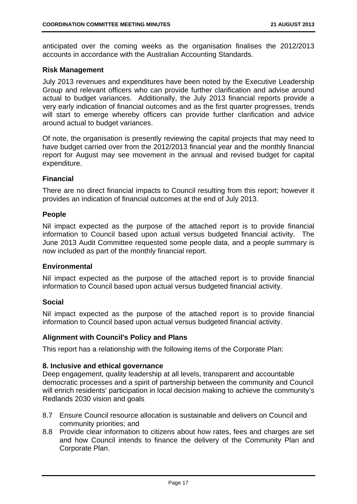anticipated over the coming weeks as the organisation finalises the 2012/2013 accounts in accordance with the Australian Accounting Standards.

#### **Risk Management**

July 2013 revenues and expenditures have been noted by the Executive Leadership Group and relevant officers who can provide further clarification and advise around actual to budget variances. Additionally, the July 2013 financial reports provide a very early indication of financial outcomes and as the first quarter progresses, trends will start to emerge whereby officers can provide further clarification and advice around actual to budget variances.

Of note, the organisation is presently reviewing the capital projects that may need to have budget carried over from the 2012/2013 financial year and the monthly financial report for August may see movement in the annual and revised budget for capital expenditure.

#### **Financial**

There are no direct financial impacts to Council resulting from this report; however it provides an indication of financial outcomes at the end of July 2013.

#### **People**

Nil impact expected as the purpose of the attached report is to provide financial information to Council based upon actual versus budgeted financial activity. The June 2013 Audit Committee requested some people data, and a people summary is now included as part of the monthly financial report.

#### **Environmental**

Nil impact expected as the purpose of the attached report is to provide financial information to Council based upon actual versus budgeted financial activity.

#### **Social**

Nil impact expected as the purpose of the attached report is to provide financial information to Council based upon actual versus budgeted financial activity.

#### **Alignment with Council's Policy and Plans**

This report has a relationship with the following items of the Corporate Plan:

#### **8. Inclusive and ethical governance**

Deep engagement, quality leadership at all levels, transparent and accountable democratic processes and a spirit of partnership between the community and Council will enrich residents' participation in local decision making to achieve the community's Redlands 2030 vision and goals

- 8.7 Ensure Council resource allocation is sustainable and delivers on Council and community priorities; and
- 8.8 Provide clear information to citizens about how rates, fees and charges are set and how Council intends to finance the delivery of the Community Plan and Corporate Plan.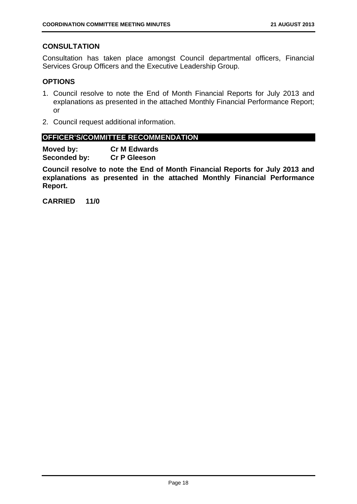# **CONSULTATION**

Consultation has taken place amongst Council departmental officers, Financial Services Group Officers and the Executive Leadership Group.

#### **OPTIONS**

- 1. Council resolve to note the End of Month Financial Reports for July 2013 and explanations as presented in the attached Monthly Financial Performance Report; or
- 2. Council request additional information.

#### **OFFICER'S/COMMITTEE RECOMMENDATION**

**Moved by: Cr M Edwards Seconded by: Cr P Gleeson** 

**Council resolve to note the End of Month Financial Reports for July 2013 and explanations as presented in the attached Monthly Financial Performance Report.**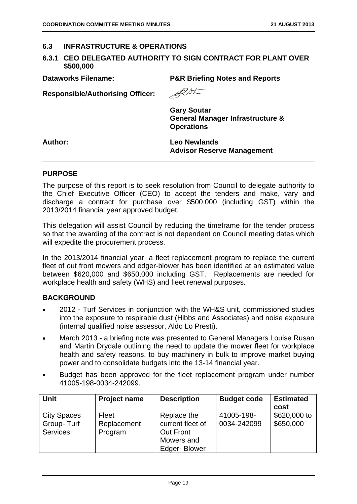#### **6.3 INFRASTRUCTURE & OPERATIONS**

#### **6.3.1 CEO DELEGATED AUTHORITY TO SIGN CONTRACT FOR PLANT OVER \$500,000**

**Dataworks Filename: P&R Briefing Notes and Reports** 

**Responsible/Authorising Officer:** 

RAL

**Gary Soutar General Manager Infrastructure & Operations** 

**Author: Leo Newlands Advisor Reserve Management** 

#### **PURPOSE**

The purpose of this report is to seek resolution from Council to delegate authority to the Chief Executive Officer (CEO) to accept the tenders and make, vary and discharge a contract for purchase over \$500,000 (including GST) within the 2013/2014 financial year approved budget.

This delegation will assist Council by reducing the timeframe for the tender process so that the awarding of the contract is not dependent on Council meeting dates which will expedite the procurement process.

In the 2013/2014 financial year, a fleet replacement program to replace the current fleet of out front mowers and edger-blower has been identified at an estimated value between \$620,000 and \$650,000 including GST. Replacements are needed for workplace health and safety (WHS) and fleet renewal purposes.

#### **BACKGROUND**

- 2012 Turf Services in conjunction with the WH&S unit, commissioned studies into the exposure to respirable dust (Hibbs and Associates) and noise exposure (internal qualified noise assessor, Aldo Lo Presti).
- March 2013 a briefing note was presented to General Managers Louise Rusan and Martin Drydale outlining the need to update the mower fleet for workplace health and safety reasons, to buy machinery in bulk to improve market buying power and to consolidate budgets into the 13-14 financial year.
- Budget has been approved for the fleet replacement program under number 41005-198-0034-242099.

| Unit               | <b>Project name</b> | <b>Description</b>  | <b>Budget code</b> | <b>Estimated</b> |
|--------------------|---------------------|---------------------|--------------------|------------------|
|                    |                     |                     |                    | cost             |
| <b>City Spaces</b> | Fleet               | Replace the         | 41005-198-         | \$620,000 to     |
| Group-Turf         | Replacement         | current fleet of    | 0034-242099        | \$650,000        |
| <b>Services</b>    | Program             | <b>Out Front</b>    |                    |                  |
|                    |                     | Mowers and          |                    |                  |
|                    |                     | <b>Edger-Blower</b> |                    |                  |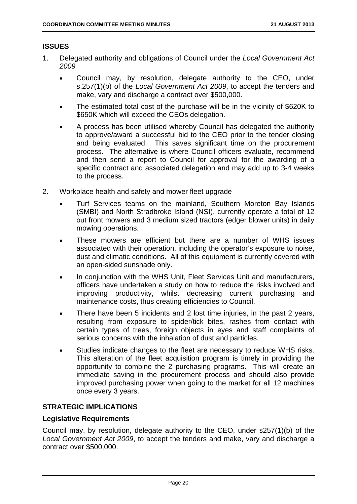# **ISSUES**

- 1. Delegated authority and obligations of Council under the *Local Government Act 2009*
	- Council may, by resolution, delegate authority to the CEO, under s.257(1)(b) of the *Local Government Act 2009*, to accept the tenders and make, vary and discharge a contract over \$500,000.
	- The estimated total cost of the purchase will be in the vicinity of \$620K to \$650K which will exceed the CEOs delegation.
	- A process has been utilised whereby Council has delegated the authority to approve/award a successful bid to the CEO prior to the tender closing and being evaluated. This saves significant time on the procurement process. The alternative is where Council officers evaluate, recommend and then send a report to Council for approval for the awarding of a specific contract and associated delegation and may add up to 3-4 weeks to the process.
- 2. Workplace health and safety and mower fleet upgrade
	- Turf Services teams on the mainland, Southern Moreton Bay Islands (SMBI) and North Stradbroke Island (NSI), currently operate a total of 12 out front mowers and 3 medium sized tractors (edger blower units) in daily mowing operations.
	- These mowers are efficient but there are a number of WHS issues associated with their operation, including the operator's exposure to noise, dust and climatic conditions. All of this equipment is currently covered with an open-sided sunshade only.
	- In conjunction with the WHS Unit, Fleet Services Unit and manufacturers, officers have undertaken a study on how to reduce the risks involved and improving productivity, whilst decreasing current purchasing and maintenance costs, thus creating efficiencies to Council.
	- There have been 5 incidents and 2 lost time injuries, in the past 2 years, resulting from exposure to spider/tick bites, rashes from contact with certain types of trees, foreign objects in eyes and staff complaints of serious concerns with the inhalation of dust and particles.
	- Studies indicate changes to the fleet are necessary to reduce WHS risks. This alteration of the fleet acquisition program is timely in providing the opportunity to combine the 2 purchasing programs. This will create an immediate saving in the procurement process and should also provide improved purchasing power when going to the market for all 12 machines once every 3 years.

# **STRATEGIC IMPLICATIONS**

# **Legislative Requirements**

Council may, by resolution, delegate authority to the CEO, under s257(1)(b) of the *Local Government Act 2009*, to accept the tenders and make, vary and discharge a contract over \$500,000.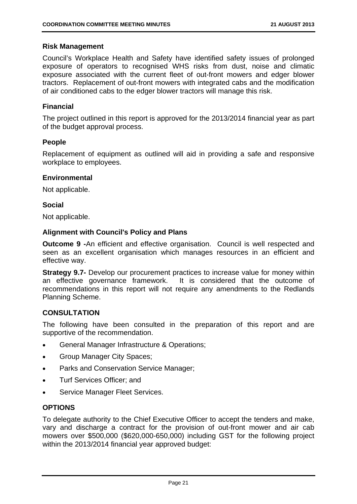#### **Risk Management**

Council's Workplace Health and Safety have identified safety issues of prolonged exposure of operators to recognised WHS risks from dust, noise and climatic exposure associated with the current fleet of out-front mowers and edger blower tractors. Replacement of out-front mowers with integrated cabs and the modification of air conditioned cabs to the edger blower tractors will manage this risk.

#### **Financial**

The project outlined in this report is approved for the 2013/2014 financial year as part of the budget approval process.

#### **People**

Replacement of equipment as outlined will aid in providing a safe and responsive workplace to employees.

#### **Environmental**

Not applicable.

#### **Social**

Not applicable.

#### **Alignment with Council's Policy and Plans**

**Outcome 9 -**An efficient and effective organisation. Council is well respected and seen as an excellent organisation which manages resources in an efficient and effective way.

**Strategy 9.7-** Develop our procurement practices to increase value for money within an effective governance framework. It is considered that the outcome of recommendations in this report will not require any amendments to the Redlands Planning Scheme.

# **CONSULTATION**

The following have been consulted in the preparation of this report and are supportive of the recommendation.

- General Manager Infrastructure & Operations;
- Group Manager City Spaces;
- Parks and Conservation Service Manager;
- Turf Services Officer; and
- Service Manager Fleet Services.

# **OPTIONS**

To delegate authority to the Chief Executive Officer to accept the tenders and make, vary and discharge a contract for the provision of out-front mower and air cab mowers over \$500,000 (\$620,000-650,000) including GST for the following project within the 2013/2014 financial year approved budget: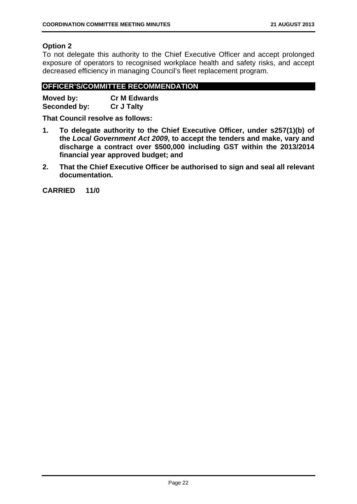# **Option 2**

To not delegate this authority to the Chief Executive Officer and accept prolonged exposure of operators to recognised workplace health and safety risks, and accept decreased efficiency in managing Council's fleet replacement program.

# **OFFICER'S/COMMITTEE RECOMMENDATION**

| Moved by:    | <b>Cr M Edwards</b> |
|--------------|---------------------|
| Seconded by: | <b>Cr J Talty</b>   |

**That Council resolve as follows:** 

- **1. To delegate authority to the Chief Executive Officer, under s257(1)(b) of the** *Local Government Act 2009***, to accept the tenders and make, vary and discharge a contract over \$500,000 including GST within the 2013/2014 financial year approved budget; and**
- **2. That the Chief Executive Officer be authorised to sign and seal all relevant documentation.**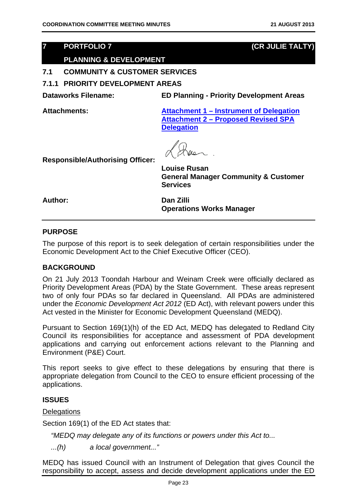# **7 PORTFOLIO 7 (CR JULIE TALTY)**

# **PLANNING & DEVELOPMENT**

# **7.1 COMMUNITY & CUSTOMER SERVICES**

**7.1.1 PRIORITY DEVELOPMENT AREAS** 

**Dataworks Filename: ED Planning - Priority Development Areas** 

**Attachments: Attachment 1 – Instrument of Delegation Attachment 2 – Proposed Revised SPA Delegation**

**Responsible/Authorising Officer:** 

**Louise Rusan General Manager Community & Customer Services** 

**Author: Dan Zilli Operations Works Manager** 

#### **PURPOSE**

The purpose of this report is to seek delegation of certain responsibilities under the Economic Development Act to the Chief Executive Officer (CEO).

#### **BACKGROUND**

On 21 July 2013 Toondah Harbour and Weinam Creek were officially declared as Priority Development Areas (PDA) by the State Government. These areas represent two of only four PDAs so far declared in Queensland. All PDAs are administered under the *Economic Development Act 2012* (ED Act), with relevant powers under this Act vested in the Minister for Economic Development Queensland (MEDQ).

Pursuant to Section 169(1)(h) of the ED Act, MEDQ has delegated to Redland City Council its responsibilities for acceptance and assessment of PDA development applications and carrying out enforcement actions relevant to the Planning and Environment (P&E) Court.

This report seeks to give effect to these delegations by ensuring that there is appropriate delegation from Council to the CEO to ensure efficient processing of the applications.

# **ISSUES**

**Delegations** 

Section 169(1) of the ED Act states that:

*"MEDQ may delegate any of its functions or powers under this Act to...*

*...(h) a local government..."*

MEDQ has issued Council with an Instrument of Delegation that gives Council the responsibility to accept, assess and decide development applications under the ED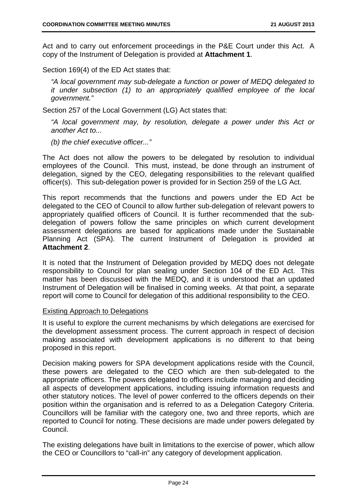Act and to carry out enforcement proceedings in the P&E Court under this Act. A copy of the Instrument of Delegation is provided at **Attachment 1**.

Section 169(4) of the ED Act states that:

*"A local government may sub-delegate a function or power of MEDQ delegated to it under subsection (1) to an appropriately qualified employee of the local government."*

Section 257 of the Local Government (LG) Act states that:

*"A local government may, by resolution, delegate a power under this Act or another Act to...*

*(b) the chief executive officer..."*

The Act does not allow the powers to be delegated by resolution to individual employees of the Council. This must, instead, be done through an instrument of delegation, signed by the CEO, delegating responsibilities to the relevant qualified officer(s). This sub-delegation power is provided for in Section 259 of the LG Act.

This report recommends that the functions and powers under the ED Act be delegated to the CEO of Council to allow further sub-delegation of relevant powers to appropriately qualified officers of Council. It is further recommended that the subdelegation of powers follow the same principles on which current development assessment delegations are based for applications made under the Sustainable Planning Act (SPA). The current Instrument of Delegation is provided at **Attachment 2**.

It is noted that the Instrument of Delegation provided by MEDQ does not delegate responsibility to Council for plan sealing under Section 104 of the ED Act. This matter has been discussed with the MEDQ, and it is understood that an updated Instrument of Delegation will be finalised in coming weeks. At that point, a separate report will come to Council for delegation of this additional responsibility to the CEO.

#### Existing Approach to Delegations

It is useful to explore the current mechanisms by which delegations are exercised for the development assessment process. The current approach in respect of decision making associated with development applications is no different to that being proposed in this report.

Decision making powers for SPA development applications reside with the Council, these powers are delegated to the CEO which are then sub-delegated to the appropriate officers. The powers delegated to officers include managing and deciding all aspects of development applications, including issuing information requests and other statutory notices. The level of power conferred to the officers depends on their position within the organisation and is referred to as a Delegation Category Criteria. Councillors will be familiar with the category one, two and three reports, which are reported to Council for noting. These decisions are made under powers delegated by Council.

The existing delegations have built in limitations to the exercise of power, which allow the CEO or Councillors to "call-in" any category of development application.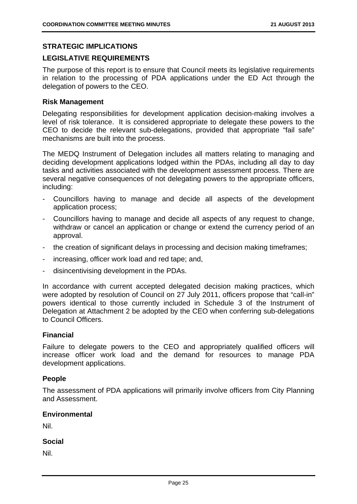#### **STRATEGIC IMPLICATIONS**

#### **LEGISLATIVE REQUIREMENTS**

The purpose of this report is to ensure that Council meets its legislative requirements in relation to the processing of PDA applications under the ED Act through the delegation of powers to the CEO.

#### **Risk Management**

Delegating responsibilities for development application decision-making involves a level of risk tolerance. It is considered appropriate to delegate these powers to the CEO to decide the relevant sub-delegations, provided that appropriate "fail safe" mechanisms are built into the process.

The MEDQ Instrument of Delegation includes all matters relating to managing and deciding development applications lodged within the PDAs, including all day to day tasks and activities associated with the development assessment process. There are several negative consequences of not delegating powers to the appropriate officers, including:

- Councillors having to manage and decide all aspects of the development application process;
- Councillors having to manage and decide all aspects of any request to change, withdraw or cancel an application or change or extend the currency period of an approval.
- the creation of significant delays in processing and decision making timeframes;
- increasing, officer work load and red tape; and,
- disincentivising development in the PDAs.

In accordance with current accepted delegated decision making practices, which were adopted by resolution of Council on 27 July 2011, officers propose that "call-in" powers identical to those currently included in Schedule 3 of the Instrument of Delegation at Attachment 2 be adopted by the CEO when conferring sub-delegations to Council Officers.

#### **Financial**

Failure to delegate powers to the CEO and appropriately qualified officers will increase officer work load and the demand for resources to manage PDA development applications.

#### **People**

The assessment of PDA applications will primarily involve officers from City Planning and Assessment.

#### **Environmental**

Nil.

#### **Social**

Nil.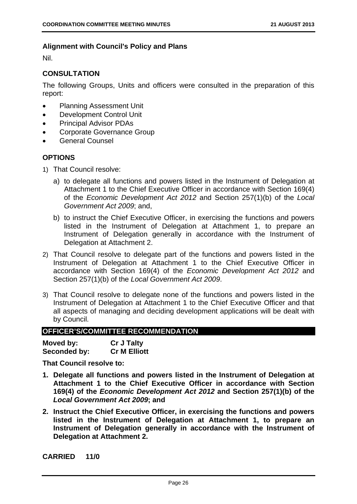# **Alignment with Council's Policy and Plans**

Nil.

# **CONSULTATION**

The following Groups, Units and officers were consulted in the preparation of this report:

- Planning Assessment Unit
- Development Control Unit
- **•** Principal Advisor PDAs
- Corporate Governance Group
- General Counsel

#### **OPTIONS**

- 1) That Council resolve:
	- a) to delegate all functions and powers listed in the Instrument of Delegation at Attachment 1 to the Chief Executive Officer in accordance with Section 169(4) of the *Economic Development Act 2012* and Section 257(1)(b) of the *Local Government Act 2009*; and,
	- b) to instruct the Chief Executive Officer, in exercising the functions and powers listed in the Instrument of Delegation at Attachment 1, to prepare an Instrument of Delegation generally in accordance with the Instrument of Delegation at Attachment 2.
- 2) That Council resolve to delegate part of the functions and powers listed in the Instrument of Delegation at Attachment 1 to the Chief Executive Officer in accordance with Section 169(4) of the *Economic Development Act 2012* and Section 257(1)(b) of the *Local Government Act 2009*.
- 3) That Council resolve to delegate none of the functions and powers listed in the Instrument of Delegation at Attachment 1 to the Chief Executive Officer and that all aspects of managing and deciding development applications will be dealt with by Council.

# **OFFICER'S/COMMITTEE RECOMMENDATION**

| Moved by:    | <b>Cr J Talty</b>   |
|--------------|---------------------|
| Seconded by: | <b>Cr M Elliott</b> |

**That Council resolve to:** 

- **1. Delegate all functions and powers listed in the Instrument of Delegation at Attachment 1 to the Chief Executive Officer in accordance with Section 169(4) of the** *Economic Development Act 2012* **and Section 257(1)(b) of the**  *Local Government Act 2009***; and**
- **2. Instruct the Chief Executive Officer, in exercising the functions and powers listed in the Instrument of Delegation at Attachment 1, to prepare an Instrument of Delegation generally in accordance with the Instrument of Delegation at Attachment 2.**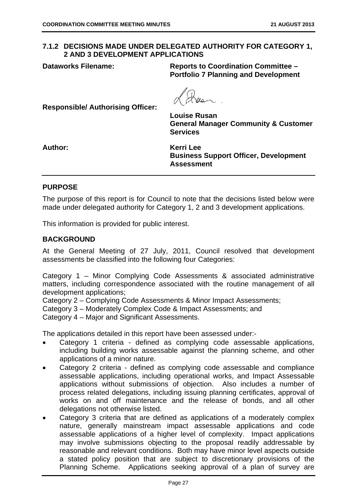# **7.1.2 DECISIONS MADE UNDER DELEGATED AUTHORITY FOR CATEGORY 1, 2 AND 3 DEVELOPMENT APPLICATIONS**

**Dataworks Filename: Reports to Coordination Committee – Portfolio 7 Planning and Development** 

**Responsible/ Authorising Officer:** 

**Louise Rusan General Manager Community & Customer Services** 

**Author: Kerri Lee Business Support Officer, Development Assessment** 

#### **PURPOSE**

The purpose of this report is for Council to note that the decisions listed below were made under delegated authority for Category 1, 2 and 3 development applications.

This information is provided for public interest.

#### **BACKGROUND**

At the General Meeting of 27 July, 2011, Council resolved that development assessments be classified into the following four Categories:

Category 1 – Minor Complying Code Assessments & associated administrative matters, including correspondence associated with the routine management of all development applications;

Category 2 – Complying Code Assessments & Minor Impact Assessments;

Category 3 – Moderately Complex Code & Impact Assessments; and

Category 4 – Major and Significant Assessments.

The applications detailed in this report have been assessed under:-

- Category 1 criteria defined as complying code assessable applications, including building works assessable against the planning scheme, and other applications of a minor nature.
- Category 2 criteria defined as complying code assessable and compliance assessable applications, including operational works, and Impact Assessable applications without submissions of objection. Also includes a number of process related delegations, including issuing planning certificates, approval of works on and off maintenance and the release of bonds, and all other delegations not otherwise listed.
- Category 3 criteria that are defined as applications of a moderately complex nature, generally mainstream impact assessable applications and code assessable applications of a higher level of complexity. Impact applications may involve submissions objecting to the proposal readily addressable by reasonable and relevant conditions. Both may have minor level aspects outside a stated policy position that are subject to discretionary provisions of the Planning Scheme. Applications seeking approval of a plan of survey are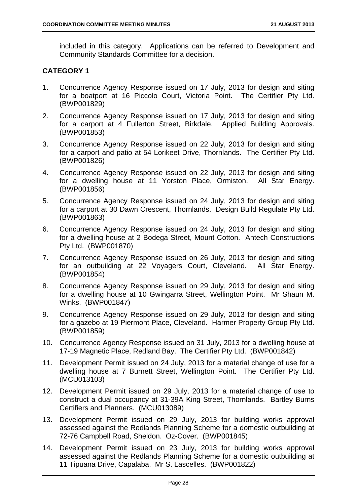included in this category. Applications can be referred to Development and Community Standards Committee for a decision.

# **CATEGORY 1**

- 1. Concurrence Agency Response issued on 17 July, 2013 for design and siting for a boatport at 16 Piccolo Court, Victoria Point. The Certifier Pty Ltd. (BWP001829)
- 2. Concurrence Agency Response issued on 17 July, 2013 for design and siting for a carport at 4 Fullerton Street, Birkdale. Applied Building Approvals. (BWP001853)
- 3. Concurrence Agency Response issued on 22 July, 2013 for design and siting for a carport and patio at 54 Lorikeet Drive, Thornlands. The Certifier Pty Ltd. (BWP001826)
- 4. Concurrence Agency Response issued on 22 July, 2013 for design and siting for a dwelling house at 11 Yorston Place, Ormiston. All Star Energy. (BWP001856)
- 5. Concurrence Agency Response issued on 24 July, 2013 for design and siting for a carport at 30 Dawn Crescent, Thornlands. Design Build Regulate Pty Ltd. (BWP001863)
- 6. Concurrence Agency Response issued on 24 July, 2013 for design and siting for a dwelling house at 2 Bodega Street, Mount Cotton. Antech Constructions Pty Ltd. (BWP001870)
- 7. Concurrence Agency Response issued on 26 July, 2013 for design and siting for an outbuilding at 22 Voyagers Court, Cleveland. All Star Energy. (BWP001854)
- 8. Concurrence Agency Response issued on 29 July, 2013 for design and siting for a dwelling house at 10 Gwingarra Street, Wellington Point. Mr Shaun M. Winks. (BWP001847)
- 9. Concurrence Agency Response issued on 29 July, 2013 for design and siting for a gazebo at 19 Piermont Place, Cleveland. Harmer Property Group Pty Ltd. (BWP001859)
- 10. Concurrence Agency Response issued on 31 July, 2013 for a dwelling house at 17-19 Magnetic Place, Redland Bay. The Certifier Pty Ltd. (BWP001842)
- 11. Development Permit issued on 24 July, 2013 for a material change of use for a dwelling house at 7 Burnett Street, Wellington Point. The Certifier Pty Ltd. (MCU013103)
- 12. Development Permit issued on 29 July, 2013 for a material change of use to construct a dual occupancy at 31-39A King Street, Thornlands. Bartley Burns Certifiers and Planners. (MCU013089)
- 13. Development Permit issued on 29 July, 2013 for building works approval assessed against the Redlands Planning Scheme for a domestic outbuilding at 72-76 Campbell Road, Sheldon. Oz-Cover. (BWP001845)
- 14. Development Permit issued on 23 July, 2013 for building works approval assessed against the Redlands Planning Scheme for a domestic outbuilding at 11 Tipuana Drive, Capalaba. Mr S. Lascelles. (BWP001822)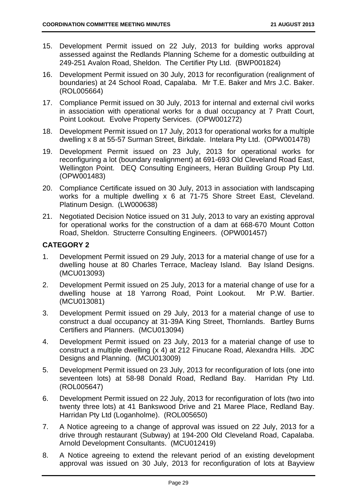- 15. Development Permit issued on 22 July, 2013 for building works approval assessed against the Redlands Planning Scheme for a domestic outbuilding at 249-251 Avalon Road, Sheldon. The Certifier Pty Ltd. (BWP001824)
- 16. Development Permit issued on 30 July, 2013 for reconfiguration (realignment of boundaries) at 24 School Road, Capalaba. Mr T.E. Baker and Mrs J.C. Baker. (ROL005664)
- 17. Compliance Permit issued on 30 July, 2013 for internal and external civil works in association with operational works for a dual occupancy at 7 Pratt Court, Point Lookout. Evolve Property Services. (OPW001272)
- 18. Development Permit issued on 17 July, 2013 for operational works for a multiple dwelling x 8 at 55-57 Surman Street, Birkdale. Intelara Pty Ltd. (OPW001478)
- 19. Development Permit issued on 23 July, 2013 for operational works for reconfiguring a lot (boundary realignment) at 691-693 Old Cleveland Road East, Wellington Point. DEQ Consulting Engineers, Heran Building Group Pty Ltd. (OPW001483)
- 20. Compliance Certificate issued on 30 July, 2013 in association with landscaping works for a multiple dwelling x 6 at 71-75 Shore Street East, Cleveland. Platinum Design. (LW000638)
- 21. Negotiated Decision Notice issued on 31 July, 2013 to vary an existing approval for operational works for the construction of a dam at 668-670 Mount Cotton Road, Sheldon. Structerre Consulting Engineers. (OPW001457)

# **CATEGORY 2**

- 1. Development Permit issued on 29 July, 2013 for a material change of use for a dwelling house at 80 Charles Terrace, Macleay Island. Bay Island Designs. (MCU013093)
- 2. Development Permit issued on 25 July, 2013 for a material change of use for a dwelling house at 18 Yarrong Road, Point Lookout. Mr P.W. Bartier. (MCU013081)
- 3. Development Permit issued on 29 July, 2013 for a material change of use to construct a dual occupancy at 31-39A King Street, Thornlands. Bartley Burns Certifiers and Planners. (MCU013094)
- 4. Development Permit issued on 23 July, 2013 for a material change of use to construct a multiple dwelling (x 4) at 212 Finucane Road, Alexandra Hills. JDC Designs and Planning. (MCU013009)
- 5. Development Permit issued on 23 July, 2013 for reconfiguration of lots (one into seventeen lots) at 58-98 Donald Road, Redland Bay. Harridan Pty Ltd. (ROL005647)
- 6. Development Permit issued on 22 July, 2013 for reconfiguration of lots (two into twenty three lots) at 41 Bankswood Drive and 21 Maree Place, Redland Bay. Harridan Pty Ltd (Loganholme). (ROL005650)
- 7. A Notice agreeing to a change of approval was issued on 22 July, 2013 for a drive through restaurant (Subway) at 194-200 Old Cleveland Road, Capalaba. Arnold Development Consultants. (MCU012419)
- 8. A Notice agreeing to extend the relevant period of an existing development approval was issued on 30 July, 2013 for reconfiguration of lots at Bayview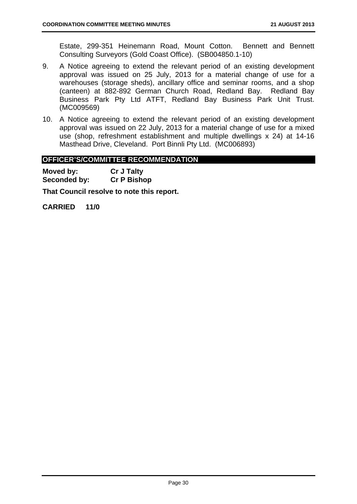Estate, 299-351 Heinemann Road, Mount Cotton. Bennett and Bennett Consulting Surveyors (Gold Coast Office). (SB004850.1-10)

- 9. A Notice agreeing to extend the relevant period of an existing development approval was issued on 25 July, 2013 for a material change of use for a warehouses (storage sheds), ancillary office and seminar rooms, and a shop (canteen) at 882-892 German Church Road, Redland Bay. Redland Bay Business Park Pty Ltd ATFT, Redland Bay Business Park Unit Trust. (MC009569)
- 10. A Notice agreeing to extend the relevant period of an existing development approval was issued on 22 July, 2013 for a material change of use for a mixed use (shop, refreshment establishment and multiple dwellings x 24) at 14-16 Masthead Drive, Cleveland. Port Binnli Pty Ltd. (MC006893)

#### **OFFICER'S/COMMITTEE RECOMMENDATION**

**Moved by: Cr J Talty Seconded by: Cr P Bishop** 

**That Council resolve to note this report.**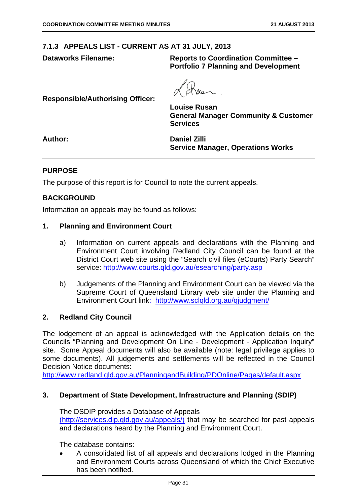#### **7.1.3 APPEALS LIST - CURRENT AS AT 31 JULY, 2013**

**Dataworks Filename: Reports to Coordination Committee – Portfolio 7 Planning and Development** 

**Responsible/Authorising Officer:** 

**Louise Rusan General Manager Community & Customer Services** 

**Author: Daniel Zilli Service Manager, Operations Works** 

#### **PURPOSE**

The purpose of this report is for Council to note the current appeals.

#### **BACKGROUND**

Information on appeals may be found as follows:

#### **1. Planning and Environment Court**

- a) Information on current appeals and declarations with the Planning and Environment Court involving Redland City Council can be found at the District Court web site using the "Search civil files (eCourts) Party Search" service: http://www.courts.qld.gov.au/esearching/party.asp
- b) Judgements of the Planning and Environment Court can be viewed via the Supreme Court of Queensland Library web site under the Planning and Environment Court link: http://www.sclqld.org.au/qjudgment/

#### **2. Redland City Council**

The lodgement of an appeal is acknowledged with the Application details on the Councils "Planning and Development On Line - Development - Application Inquiry" site. Some Appeal documents will also be available (note: legal privilege applies to some documents). All judgements and settlements will be reflected in the Council Decision Notice documents:

http://www.redland.qld.gov.au/PlanningandBuilding/PDOnline/Pages/default.aspx

#### **3. Department of State Development, Infrastructure and Planning (SDIP)**

The DSDIP provides a Database of Appeals (http://services.dip.qld.gov.au/appeals/) that may be searched for past appeals and declarations heard by the Planning and Environment Court.

The database contains:

 A consolidated list of all appeals and declarations lodged in the Planning and Environment Courts across Queensland of which the Chief Executive has been notified.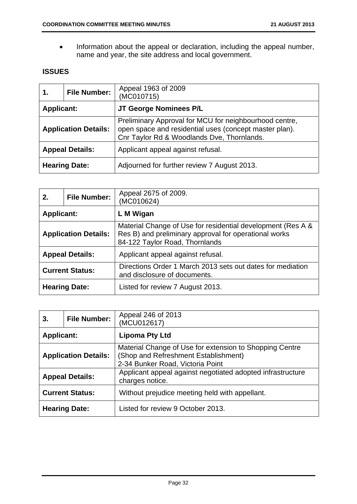Information about the appeal or declaration, including the appeal number, name and year, the site address and local government.

# **ISSUES**

| 1.                | <b>File Number:</b>         | Appeal 1963 of 2009<br>(MC010715)                                                                                                                              |
|-------------------|-----------------------------|----------------------------------------------------------------------------------------------------------------------------------------------------------------|
| <b>Applicant:</b> |                             | JT George Nominees P/L                                                                                                                                         |
|                   | <b>Application Details:</b> | Preliminary Approval for MCU for neighbourhood centre,<br>open space and residential uses (concept master plan).<br>Cnr Taylor Rd & Woodlands Dve, Thornlands. |
|                   | <b>Appeal Details:</b>      | Applicant appeal against refusal.                                                                                                                              |
|                   | <b>Hearing Date:</b>        | Adjourned for further review 7 August 2013.                                                                                                                    |

| 2.                | <b>File Number:</b>         | Appeal 2675 of 2009.<br>(MC010624)                                                                                                                     |
|-------------------|-----------------------------|--------------------------------------------------------------------------------------------------------------------------------------------------------|
| <b>Applicant:</b> |                             | L M Wigan                                                                                                                                              |
|                   | <b>Application Details:</b> | Material Change of Use for residential development (Res A &<br>Res B) and preliminary approval for operational works<br>84-122 Taylor Road, Thornlands |
|                   | <b>Appeal Details:</b>      | Applicant appeal against refusal.                                                                                                                      |
|                   | <b>Current Status:</b>      | Directions Order 1 March 2013 sets out dates for mediation<br>and disclosure of documents.                                                             |
|                   | <b>Hearing Date:</b>        | Listed for review 7 August 2013.                                                                                                                       |

| 3.                     | <b>File Number:</b>         | Appeal 246 of 2013<br>(MCU012617)                                                                                                   |
|------------------------|-----------------------------|-------------------------------------------------------------------------------------------------------------------------------------|
| <b>Applicant:</b>      |                             | <b>Lipoma Pty Ltd</b>                                                                                                               |
|                        | <b>Application Details:</b> | Material Change of Use for extension to Shopping Centre<br>(Shop and Refreshment Establishment)<br>2-34 Bunker Road, Victoria Point |
| <b>Appeal Details:</b> |                             | Applicant appeal against negotiated adopted infrastructure<br>charges notice.                                                       |
|                        | <b>Current Status:</b>      | Without prejudice meeting held with appellant.                                                                                      |
|                        | <b>Hearing Date:</b>        | Listed for review 9 October 2013.                                                                                                   |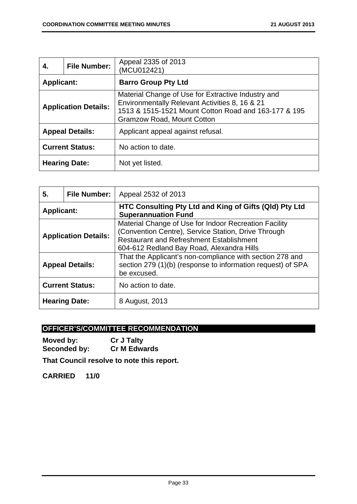| 4.                | <b>File Number:</b>         | Appeal 2335 of 2013<br>(MCU012421)                                                                                                                                                         |
|-------------------|-----------------------------|--------------------------------------------------------------------------------------------------------------------------------------------------------------------------------------------|
| <b>Applicant:</b> |                             | <b>Barro Group Pty Ltd</b>                                                                                                                                                                 |
|                   | <b>Application Details:</b> | Material Change of Use for Extractive Industry and<br>Environmentally Relevant Activities 8, 16 & 21<br>1513 & 1515-1521 Mount Cotton Road and 163-177 & 195<br>Gramzow Road, Mount Cotton |
|                   | <b>Appeal Details:</b>      | Applicant appeal against refusal.                                                                                                                                                          |
|                   | <b>Current Status:</b>      | No action to date.                                                                                                                                                                         |
|                   | <b>Hearing Date:</b>        | Not yet listed.                                                                                                                                                                            |

| 5.                     | <b>File Number:</b>         | Appeal 2532 of 2013                                                                                                                                                                                          |
|------------------------|-----------------------------|--------------------------------------------------------------------------------------------------------------------------------------------------------------------------------------------------------------|
| <b>Applicant:</b>      |                             | HTC Consulting Pty Ltd and King of Gifts (QId) Pty Ltd<br><b>Superannuation Fund</b>                                                                                                                         |
|                        | <b>Application Details:</b> | Material Change of Use for Indoor Recreation Facility<br>(Convention Centre), Service Station, Drive Through<br><b>Restaurant and Refreshment Establishment</b><br>604-612 Redland Bay Road, Alexandra Hills |
| <b>Appeal Details:</b> |                             | That the Applicant's non-compliance with section 278 and<br>section 279 (1)(b) (response to information request) of SPA<br>be excused.                                                                       |
|                        | <b>Current Status:</b>      | No action to date.                                                                                                                                                                                           |
|                        | <b>Hearing Date:</b>        | 8 August, 2013                                                                                                                                                                                               |

# **OFFICER'S/COMMITTEE RECOMMENDATION**

**Moved by: Cr J Talty Seconded by: Cr M Edwards** 

**That Council resolve to note this report.**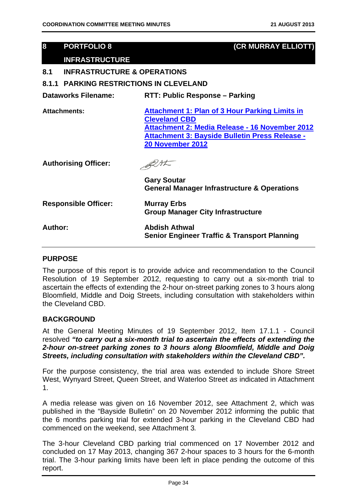| 8       | <b>PORTFOLIO 8</b>                             | (CR MURRAY ELLIOTT)                                                                                                                                                                                          |  |
|---------|------------------------------------------------|--------------------------------------------------------------------------------------------------------------------------------------------------------------------------------------------------------------|--|
|         | <b>INFRASTRUCTURE</b>                          |                                                                                                                                                                                                              |  |
| 8.1     | <b>INFRASTRUCTURE &amp; OPERATIONS</b>         |                                                                                                                                                                                                              |  |
|         | <b>8.1.1 PARKING RESTRICTIONS IN CLEVELAND</b> |                                                                                                                                                                                                              |  |
|         | <b>Dataworks Filename:</b>                     | <b>RTT: Public Response - Parking</b>                                                                                                                                                                        |  |
|         | <b>Attachments:</b>                            | <b>Attachment 1: Plan of 3 Hour Parking Limits in</b><br><b>Cleveland CBD</b><br>Attachment 2: Media Release - 16 November 2012<br>Attachment 3: Bayside Bulletin Press Release -<br><b>20 November 2012</b> |  |
|         | <b>Authorising Officer:</b>                    |                                                                                                                                                                                                              |  |
|         |                                                | <b>Gary Soutar</b><br><b>General Manager Infrastructure &amp; Operations</b>                                                                                                                                 |  |
|         | <b>Responsible Officer:</b>                    | <b>Murray Erbs</b><br><b>Group Manager City Infrastructure</b>                                                                                                                                               |  |
| Author: |                                                | <b>Abdish Athwal</b><br><b>Senior Engineer Traffic &amp; Transport Planning</b>                                                                                                                              |  |
|         |                                                |                                                                                                                                                                                                              |  |

#### **PURPOSE**

The purpose of this report is to provide advice and recommendation to the Council Resolution of 19 September 2012, requesting to carry out a six-month trial to ascertain the effects of extending the 2-hour on-street parking zones to 3 hours along Bloomfield, Middle and Doig Streets, including consultation with stakeholders within the Cleveland CBD.

#### **BACKGROUND**

At the General Meeting Minutes of 19 September 2012, Item 17.1.1 - Council resolved *"to carry out a six-month trial to ascertain the effects of extending the 2-hour on-street parking zones to 3 hours along Bloomfield, Middle and Doig Streets, including consultation with stakeholders within the Cleveland CBD".* 

For the purpose consistency, the trial area was extended to include Shore Street West, Wynyard Street, Queen Street, and Waterloo Street *as* indicated in Attachment 1.

A media release was given on 16 November 2012, see Attachment 2, which was published in the "Bayside Bulletin" on 20 November 2012 informing the public that the 6 months parking trial for extended 3-hour parking in the Cleveland CBD had commenced on the weekend, see Attachment 3*.*

The 3-hour Cleveland CBD parking trial commenced on 17 November 2012 and concluded on 17 May 2013, changing 367 2-hour spaces to 3 hours for the 6-month trial. The 3-hour parking limits have been left in place pending the outcome of this report.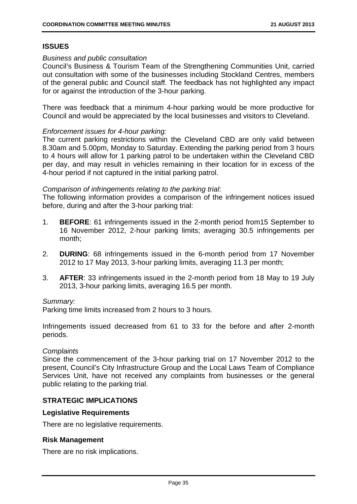# **ISSUES**

#### *Business and public consultation*

Council's Business & Tourism Team of the Strengthening Communities Unit, carried out consultation with some of the businesses including Stockland Centres, members of the general public and Council staff. The feedback has not highlighted any impact for or against the introduction of the 3-hour parking.

There was feedback that a minimum 4-hour parking would be more productive for Council and would be appreciated by the local businesses and visitors to Cleveland.

#### *Enforcement issues for 4-hour parking:*

The current parking restrictions within the Cleveland CBD are only valid between 8.30am and 5.00pm, Monday to Saturday. Extending the parking period from 3 hours to 4 hours will allow for 1 parking patrol to be undertaken within the Cleveland CBD per day, and may result in vehicles remaining in their location for in excess of the 4-hour period if not captured in the initial parking patrol.

#### *Comparison of infringements relating to the parking trial*:

The following information provides a comparison of the infringement notices issued before, during and after the 3-hour parking trial:

- 1. **BEFORE**: 61 infringements issued in the 2-month period from15 September to 16 November 2012, 2-hour parking limits; averaging 30.5 infringements per month;
- 2. **DURING**: 68 infringements issued in the 6-month period from 17 November 2012 to 17 May 2013, 3-hour parking limits, averaging 11.3 per month;
- 3. **AFTER**: 33 infringements issued in the 2-month period from 18 May to 19 July 2013, 3-hour parking limits, averaging 16.5 per month.

#### *Summary:*

Parking time limits increased from 2 hours to 3 hours.

Infringements issued decreased from 61 to 33 for the before and after 2-month periods.

#### *Complaints*

Since the commencement of the 3-hour parking trial on 17 November 2012 to the present, Council's City Infrastructure Group and the Local Laws Team of Compliance Services Unit, have not received any complaints from businesses or the general public relating to the parking trial.

#### **STRATEGIC IMPLICATIONS**

#### **Legislative Requirements**

There are no legislative requirements.

#### **Risk Management**

There are no risk implications.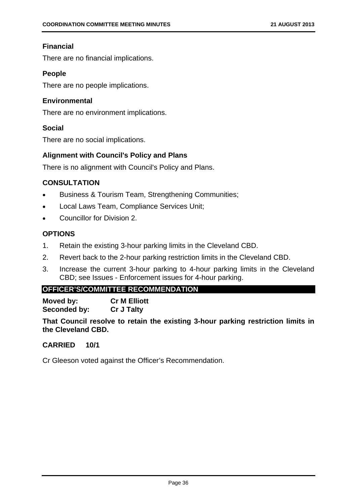# **Financial**

There are no financial implications.

# **People**

There are no people implications.

#### **Environmental**

There are no environment implications.

#### **Social**

There are no social implications.

#### **Alignment with Council's Policy and Plans**

There is no alignment with Council's Policy and Plans.

# **CONSULTATION**

- Business & Tourism Team, Strengthening Communities;
- Local Laws Team, Compliance Services Unit;
- Councillor for Division 2.

# **OPTIONS**

- 1. Retain the existing 3-hour parking limits in the Cleveland CBD.
- 2. Revert back to the 2-hour parking restriction limits in the Cleveland CBD.
- 3. Increase the current 3-hour parking to 4-hour parking limits in the Cleveland CBD; see Issues - Enforcement issues for 4-hour parking.

# **OFFICER'S/COMMITTEE RECOMMENDATION**

**Moved by: Cr M Elliott Seconded by: Cr J Talty** 

**That Council resolve to retain the existing 3-hour parking restriction limits in the Cleveland CBD.** 

#### **CARRIED 10/1**

Cr Gleeson voted against the Officer's Recommendation.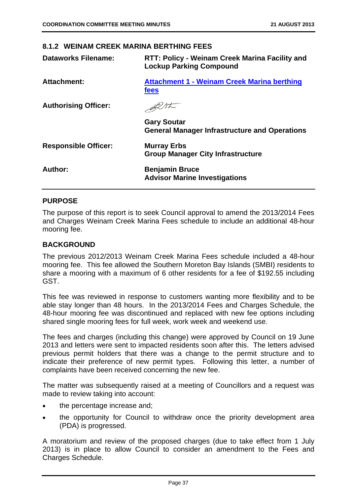#### **8.1.2 WEINAM CREEK MARINA BERTHING FEES**

| <b>Dataworks Filename:</b>  | RTT: Policy - Weinam Creek Marina Facility and<br><b>Lockup Parking Compound</b> |  |
|-----------------------------|----------------------------------------------------------------------------------|--|
| <b>Attachment:</b>          | <b>Attachment 1 - Weinam Creek Marina berthing</b><br>fees                       |  |
| <b>Authorising Officer:</b> |                                                                                  |  |
|                             | <b>Gary Soutar</b><br><b>General Manager Infrastructure and Operations</b>       |  |
| <b>Responsible Officer:</b> | <b>Murray Erbs</b><br><b>Group Manager City Infrastructure</b>                   |  |
| Author:                     | <b>Benjamin Bruce</b><br><b>Advisor Marine Investigations</b>                    |  |

#### **PURPOSE**

The purpose of this report is to seek Council approval to amend the 2013/2014 Fees and Charges Weinam Creek Marina Fees schedule to include an additional 48-hour mooring fee.

#### **BACKGROUND**

The previous 2012/2013 Weinam Creek Marina Fees schedule included a 48-hour mooring fee. This fee allowed the Southern Moreton Bay Islands (SMBI) residents to share a mooring with a maximum of 6 other residents for a fee of \$192.55 including GST.

This fee was reviewed in response to customers wanting more flexibility and to be able stay longer than 48 hours. In the 2013/2014 Fees and Charges Schedule, the 48-hour mooring fee was discontinued and replaced with new fee options including shared single mooring fees for full week, work week and weekend use.

The fees and charges (including this change) were approved by Council on 19 June 2013 and letters were sent to impacted residents soon after this. The letters advised previous permit holders that there was a change to the permit structure and to indicate their preference of new permit types. Following this letter, a number of complaints have been received concerning the new fee.

The matter was subsequently raised at a meeting of Councillors and a request was made to review taking into account:

- the percentage increase and;
- the opportunity for Council to withdraw once the priority development area (PDA) is progressed.

A moratorium and review of the proposed charges (due to take effect from 1 July 2013) is in place to allow Council to consider an amendment to the Fees and Charges Schedule.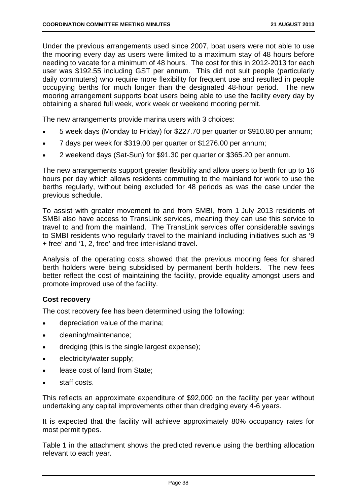Under the previous arrangements used since 2007, boat users were not able to use the mooring every day as users were limited to a maximum stay of 48 hours before needing to vacate for a minimum of 48 hours. The cost for this in 2012-2013 for each user was \$192.55 including GST per annum. This did not suit people (particularly daily commuters) who require more flexibility for frequent use and resulted in people occupying berths for much longer than the designated 48-hour period. The new mooring arrangement supports boat users being able to use the facility every day by obtaining a shared full week, work week or weekend mooring permit.

The new arrangements provide marina users with 3 choices:

- 5 week days (Monday to Friday) for \$227.70 per quarter or \$910.80 per annum;
- 7 days per week for \$319.00 per quarter or \$1276.00 per annum;
- 2 weekend days (Sat-Sun) for \$91.30 per quarter or \$365.20 per annum.

The new arrangements support greater flexibility and allow users to berth for up to 16 hours per day which allows residents commuting to the mainland for work to use the berths regularly, without being excluded for 48 periods as was the case under the previous schedule.

To assist with greater movement to and from SMBI, from 1 July 2013 residents of SMBI also have access to TransLink services, meaning they can use this service to travel to and from the mainland. The TransLink services offer considerable savings to SMBI residents who regularly travel to the mainland including initiatives such as '9 + free' and '1, 2, free' and free inter-island travel.

Analysis of the operating costs showed that the previous mooring fees for shared berth holders were being subsidised by permanent berth holders. The new fees better reflect the cost of maintaining the facility, provide equality amongst users and promote improved use of the facility.

# **Cost recovery**

The cost recovery fee has been determined using the following:

- depreciation value of the marina;
- cleaning/maintenance;
- dredging (this is the single largest expense);
- electricity/water supply;
- lease cost of land from State;
- staff costs.

This reflects an approximate expenditure of \$92,000 on the facility per year without undertaking any capital improvements other than dredging every 4-6 years.

It is expected that the facility will achieve approximately 80% occupancy rates for most permit types.

Table 1 in the attachment shows the predicted revenue using the berthing allocation relevant to each year.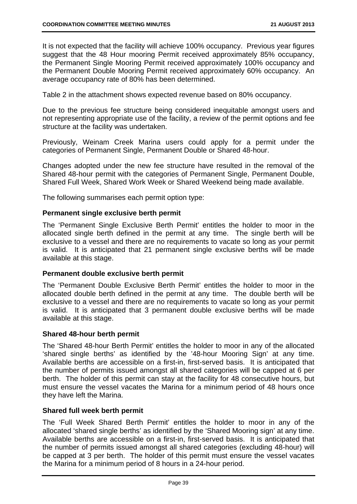It is not expected that the facility will achieve 100% occupancy. Previous year figures suggest that the 48 Hour mooring Permit received approximately 85% occupancy, the Permanent Single Mooring Permit received approximately 100% occupancy and the Permanent Double Mooring Permit received approximately 60% occupancy. An average occupancy rate of 80% has been determined.

Table 2 in the attachment shows expected revenue based on 80% occupancy.

Due to the previous fee structure being considered inequitable amongst users and not representing appropriate use of the facility, a review of the permit options and fee structure at the facility was undertaken.

Previously, Weinam Creek Marina users could apply for a permit under the categories of Permanent Single, Permanent Double or Shared 48-hour.

Changes adopted under the new fee structure have resulted in the removal of the Shared 48-hour permit with the categories of Permanent Single, Permanent Double, Shared Full Week, Shared Work Week or Shared Weekend being made available.

The following summarises each permit option type:

#### **Permanent single exclusive berth permit**

The 'Permanent Single Exclusive Berth Permit' entitles the holder to moor in the allocated single berth defined in the permit at any time. The single berth will be exclusive to a vessel and there are no requirements to vacate so long as your permit is valid. It is anticipated that 21 permanent single exclusive berths will be made available at this stage.

#### **Permanent double exclusive berth permit**

The 'Permanent Double Exclusive Berth Permit' entitles the holder to moor in the allocated double berth defined in the permit at any time. The double berth will be exclusive to a vessel and there are no requirements to vacate so long as your permit is valid. It is anticipated that 3 permanent double exclusive berths will be made available at this stage.

#### **Shared 48-hour berth permit**

The 'Shared 48-hour Berth Permit' entitles the holder to moor in any of the allocated 'shared single berths' as identified by the '48-hour Mooring Sign' at any time. Available berths are accessible on a first-in, first-served basis. It is anticipated that the number of permits issued amongst all shared categories will be capped at 6 per berth. The holder of this permit can stay at the facility for 48 consecutive hours, but must ensure the vessel vacates the Marina for a minimum period of 48 hours once they have left the Marina.

#### **Shared full week berth permit**

The 'Full Week Shared Berth Permit' entitles the holder to moor in any of the allocated 'shared single berths' as identified by the 'Shared Mooring sign' at any time. Available berths are accessible on a first-in, first-served basis. It is anticipated that the number of permits issued amongst all shared categories (excluding 48-hour) will be capped at 3 per berth. The holder of this permit must ensure the vessel vacates the Marina for a minimum period of 8 hours in a 24-hour period.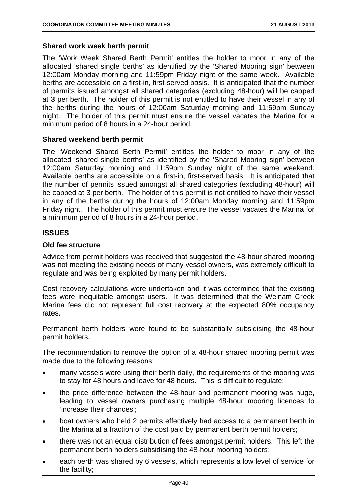#### **Shared work week berth permit**

The 'Work Week Shared Berth Permit' entitles the holder to moor in any of the allocated 'shared single berths' as identified by the 'Shared Mooring sign' between 12:00am Monday morning and 11:59pm Friday night of the same week. Available berths are accessible on a first-in, first-served basis. It is anticipated that the number of permits issued amongst all shared categories (excluding 48-hour) will be capped at 3 per berth. The holder of this permit is not entitled to have their vessel in any of the berths during the hours of 12:00am Saturday morning and 11:59pm Sunday night. The holder of this permit must ensure the vessel vacates the Marina for a minimum period of 8 hours in a 24-hour period.

#### **Shared weekend berth permit**

The 'Weekend Shared Berth Permit' entitles the holder to moor in any of the allocated 'shared single berths' as identified by the 'Shared Mooring sign' between 12:00am Saturday morning and 11:59pm Sunday night of the same weekend. Available berths are accessible on a first-in, first-served basis. It is anticipated that the number of permits issued amongst all shared categories (excluding 48-hour) will be capped at 3 per berth. The holder of this permit is not entitled to have their vessel in any of the berths during the hours of 12:00am Monday morning and 11:59pm Friday night. The holder of this permit must ensure the vessel vacates the Marina for a minimum period of 8 hours in a 24-hour period.

#### **ISSUES**

#### **Old fee structure**

Advice from permit holders was received that suggested the 48-hour shared mooring was not meeting the existing needs of many vessel owners, was extremely difficult to regulate and was being exploited by many permit holders.

Cost recovery calculations were undertaken and it was determined that the existing fees were inequitable amongst users. It was determined that the Weinam Creek Marina fees did not represent full cost recovery at the expected 80% occupancy rates.

Permanent berth holders were found to be substantially subsidising the 48-hour permit holders.

The recommendation to remove the option of a 48-hour shared mooring permit was made due to the following reasons:

- many vessels were using their berth daily, the requirements of the mooring was to stay for 48 hours and leave for 48 hours. This is difficult to regulate;
- the price difference between the 48-hour and permanent mooring was huge, leading to vessel owners purchasing multiple 48-hour mooring licences to 'increase their chances';
- boat owners who held 2 permits effectively had access to a permanent berth in the Marina at a fraction of the cost paid by permanent berth permit holders;
- there was not an equal distribution of fees amongst permit holders. This left the permanent berth holders subsidising the 48-hour mooring holders;
- each berth was shared by 6 vessels, which represents a low level of service for the facility;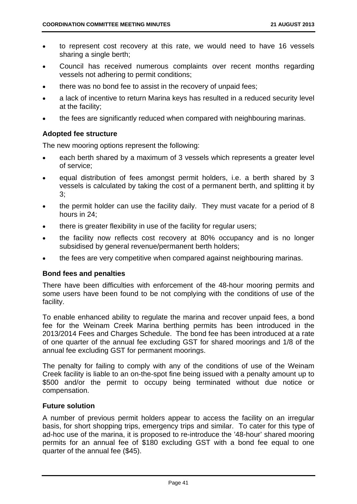- to represent cost recovery at this rate, we would need to have 16 vessels sharing a single berth;
- Council has received numerous complaints over recent months regarding vessels not adhering to permit conditions;
- there was no bond fee to assist in the recovery of unpaid fees;
- a lack of incentive to return Marina keys has resulted in a reduced security level at the facility;
- the fees are significantly reduced when compared with neighbouring marinas.

# **Adopted fee structure**

The new mooring options represent the following:

- each berth shared by a maximum of 3 vessels which represents a greater level of service;
- equal distribution of fees amongst permit holders, i.e. a berth shared by 3 vessels is calculated by taking the cost of a permanent berth, and splitting it by 3;
- the permit holder can use the facility daily. They must vacate for a period of 8 hours in 24;
- there is greater flexibility in use of the facility for regular users:
- the facility now reflects cost recovery at 80% occupancy and is no longer subsidised by general revenue/permanent berth holders;
- the fees are very competitive when compared against neighbouring marinas.

#### **Bond fees and penalties**

There have been difficulties with enforcement of the 48-hour mooring permits and some users have been found to be not complying with the conditions of use of the facility.

To enable enhanced ability to regulate the marina and recover unpaid fees, a bond fee for the Weinam Creek Marina berthing permits has been introduced in the 2013/2014 Fees and Charges Schedule. The bond fee has been introduced at a rate of one quarter of the annual fee excluding GST for shared moorings and 1/8 of the annual fee excluding GST for permanent moorings.

The penalty for failing to comply with any of the conditions of use of the Weinam Creek facility is liable to an on-the-spot fine being issued with a penalty amount up to \$500 and/or the permit to occupy being terminated without due notice or compensation.

#### **Future solution**

A number of previous permit holders appear to access the facility on an irregular basis, for short shopping trips, emergency trips and similar. To cater for this type of ad-hoc use of the marina, it is proposed to re-introduce the '48-hour' shared mooring permits for an annual fee of \$180 excluding GST with a bond fee equal to one quarter of the annual fee (\$45).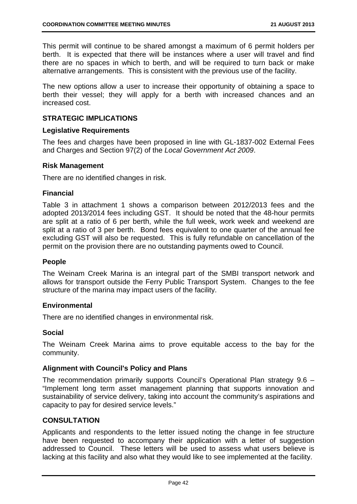This permit will continue to be shared amongst a maximum of 6 permit holders per berth. It is expected that there will be instances where a user will travel and find there are no spaces in which to berth, and will be required to turn back or make alternative arrangements. This is consistent with the previous use of the facility.

The new options allow a user to increase their opportunity of obtaining a space to berth their vessel; they will apply for a berth with increased chances and an increased cost.

#### **STRATEGIC IMPLICATIONS**

#### **Legislative Requirements**

The fees and charges have been proposed in line with GL-1837-002 External Fees and Charges and Section 97(2) of the *Local Government Act 2009*.

#### **Risk Management**

There are no identified changes in risk.

#### **Financial**

Table 3 in attachment 1 shows a comparison between 2012/2013 fees and the adopted 2013/2014 fees including GST. It should be noted that the 48-hour permits are split at a ratio of 6 per berth, while the full week, work week and weekend are split at a ratio of 3 per berth. Bond fees equivalent to one quarter of the annual fee excluding GST will also be requested. This is fully refundable on cancellation of the permit on the provision there are no outstanding payments owed to Council.

#### **People**

The Weinam Creek Marina is an integral part of the SMBI transport network and allows for transport outside the Ferry Public Transport System. Changes to the fee structure of the marina may impact users of the facility.

#### **Environmental**

There are no identified changes in environmental risk.

#### **Social**

The Weinam Creek Marina aims to prove equitable access to the bay for the community.

#### **Alignment with Council's Policy and Plans**

The recommendation primarily supports Council's Operational Plan strategy 9.6 – "Implement long term asset management planning that supports innovation and sustainability of service delivery, taking into account the community's aspirations and capacity to pay for desired service levels."

#### **CONSULTATION**

Applicants and respondents to the letter issued noting the change in fee structure have been requested to accompany their application with a letter of suggestion addressed to Council. These letters will be used to assess what users believe is lacking at this facility and also what they would like to see implemented at the facility.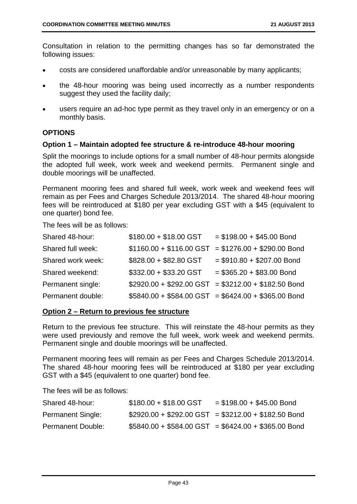Consultation in relation to the permitting changes has so far demonstrated the following issues:

- costs are considered unaffordable and/or unreasonable by many applicants;
- the 48-hour mooring was being used incorrectly as a number respondents suggest they used the facility daily;
- users require an ad-hoc type permit as they travel only in an emergency or on a monthly basis.

#### **OPTIONS**

#### **Option 1 – Maintain adopted fee structure & re-introduce 48-hour mooring**

Split the moorings to include options for a small number of 48-hour permits alongside the adopted full week, work week and weekend permits. Permanent single and double moorings will be unaffected.

Permanent mooring fees and shared full week, work week and weekend fees will remain as per Fees and Charges Schedule 2013/2014. The shared 48-hour mooring fees will be reintroduced at \$180 per year excluding GST with a \$45 (equivalent to one quarter) bond fee.

The fees will be as follows:

| Shared 48-hour:   | $$180.00 + $18.00$ GST | $= $198.00 + $45.00$ Bond                            |
|-------------------|------------------------|------------------------------------------------------|
| Shared full week: |                        | $$1160.00 + $116.00$ GST = \$1276.00 + \$290.00 Bond |
| Shared work week: | \$828.00 + \$82.80 GST | $= $910.80 + $207.00$ Bond                           |
| Shared weekend:   | $$332.00 + $33.20$ GST | $= $365.20 + $83.00$ Bond                            |
| Permanent single: |                        | $$2920.00 + $292.00$ GST = \$3212.00 + \$182.50 Bond |
| Permanent double: |                        | $$5840.00 + $584.00$ GST = \$6424.00 + \$365.00 Bond |

#### **Option 2 – Return to previous fee structure**

Return to the previous fee structure. This will reinstate the 48-hour permits as they were used previously and remove the full week, work week and weekend permits. Permanent single and double moorings will be unaffected.

Permanent mooring fees will remain as per Fees and Charges Schedule 2013/2014. The shared 48-hour mooring fees will be reintroduced at \$180 per year excluding GST with a \$45 (equivalent to one quarter) bond fee.

The fees will be as follows:

| Shared 48-hour:          | $$180.00 + $18.00$ GST | $= $198.00 + $45.00$ Bond                            |
|--------------------------|------------------------|------------------------------------------------------|
| <b>Permanent Single:</b> |                        | $$2920.00 + $292.00$ GST = \$3212.00 + \$182.50 Bond |
| <b>Permanent Double:</b> |                        | $$5840.00 + $584.00$ GST = \$6424.00 + \$365.00 Bond |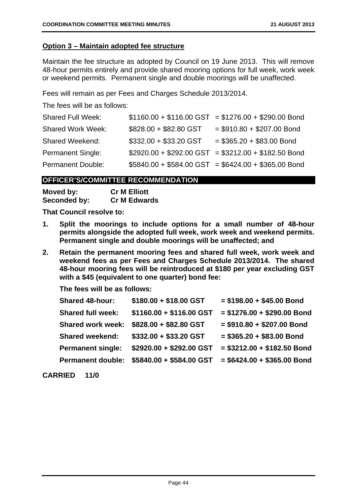#### **Option 3 – Maintain adopted fee structure**

Maintain the fee structure as adopted by Council on 19 June 2013. This will remove 48-hour permits entirely and provide shared mooring options for full week, work week or weekend permits. Permanent single and double moorings will be unaffected.

Fees will remain as per Fees and Charges Schedule 2013/2014.

The fees will be as follows:

| <b>Shared Full Week:</b> |                        | $$1160.00 + $116.00$ GST = \$1276.00 + \$290.00 Bond |
|--------------------------|------------------------|------------------------------------------------------|
| <b>Shared Work Week:</b> | \$828.00 + \$82.80 GST | $= $910.80 + $207.00$ Bond                           |
| <b>Shared Weekend:</b>   | \$332.00 + \$33.20 GST | $= $365.20 + $83.00$ Bond                            |
| <b>Permanent Single:</b> |                        | $$2920.00 + $292.00$ GST = \$3212.00 + \$182.50 Bond |
| <b>Permanent Double:</b> |                        | $$5840.00 + $584.00$ GST = \$6424.00 + \$365.00 Bond |

#### **OFFICER'S/COMMITTEE RECOMMENDATION**

| Moved by:    | <b>Cr M Elliott</b> |
|--------------|---------------------|
| Seconded by: | <b>Cr M Edwards</b> |

**That Council resolve to:** 

- **1. Split the moorings to include options for a small number of 48-hour permits alongside the adopted full week, work week and weekend permits. Permanent single and double moorings will be unaffected; and**
- **2. Retain the permanent mooring fees and shared full week, work week and weekend fees as per Fees and Charges Schedule 2013/2014. The shared 48-hour mooring fees will be reintroduced at \$180 per year excluding GST with a \$45 (equivalent to one quarter) bond fee:**

**The fees will be as follows:** 

| <b>Shared 48-hour:</b>   | $$180.00 + $18.00$ GST   | $= $198.00 + $45.00$ Bond   |
|--------------------------|--------------------------|-----------------------------|
| <b>Shared full week:</b> | \$1160.00 + \$116.00 GST | $= $1276.00 + $290.00$ Bond |
| <b>Shared work week:</b> | \$828.00 + \$82.80 GST   | $= $910.80 + $207.00$ Bond  |
| <b>Shared weekend:</b>   | $$332.00 + $33.20$ GST   | $= $365.20 + $83.00$ Bond   |
| <b>Permanent single:</b> | \$2920.00 + \$292.00 GST | $= $3212.00 + $182.50$ Bond |
| <b>Permanent double:</b> | \$5840.00 + \$584.00 GST | $= $6424.00 + $365.00$ Bond |